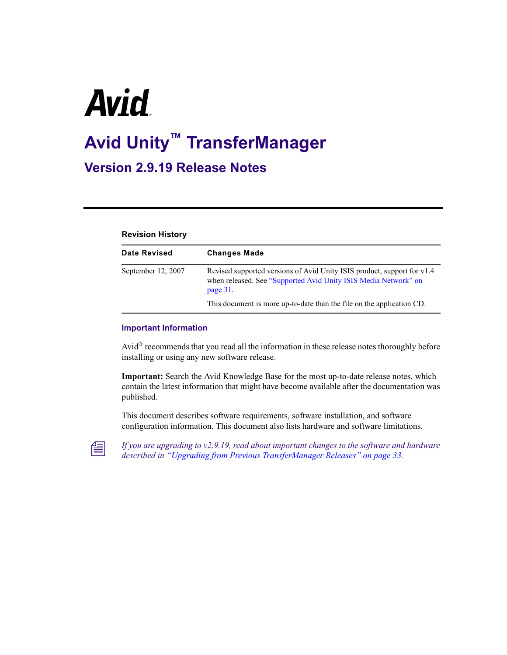# **Avid**

# **Avid Unity™ TransferManager**

# **Version 2.9.19 Release Notes**

### **Revision History**

| <b>Date Revised</b> | <b>Changes Made</b>                                                                                                                                    |
|---------------------|--------------------------------------------------------------------------------------------------------------------------------------------------------|
| September 12, 2007  | Revised supported versions of Avid Unity ISIS product, support for v1.4<br>when released. See "Supported Avid Unity ISIS Media Network" on<br>page 31. |
|                     | This document is more up-to-date than the file on the application CD.                                                                                  |

### **Important Information**

Avid® recommends that you read all the information in these release notes thoroughly before installing or using any new software release.

**Important:** Search the Avid Knowledge Base for the most up-to-date release notes, which contain the latest information that might have become available after the documentation was published.

This document describes software requirements, software installation, and software configuration information. This document also lists hardware and software limitations.



n *If you are upgrading to v2.9.19, read about important changes to the software and hardware described in ["Upgrading from Previous TransferManager Releases" on page 33.](#page-32-0)*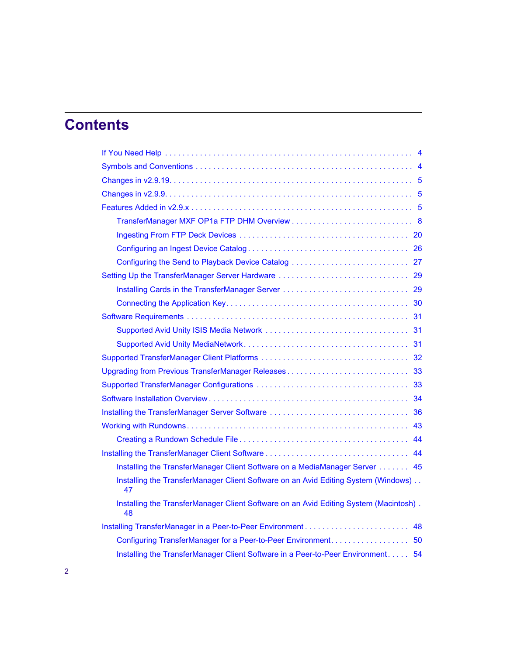# **Contents**

| 33<br>Upgrading from Previous TransferManager Releases                                      |
|---------------------------------------------------------------------------------------------|
| 33                                                                                          |
| 34                                                                                          |
|                                                                                             |
| 43                                                                                          |
| 44                                                                                          |
|                                                                                             |
| Installing the TransferManager Client Software on a MediaManager Server 45                  |
| Installing the TransferManager Client Software on an Avid Editing System (Windows)<br>47    |
| Installing the TransferManager Client Software on an Avid Editing System (Macintosh).<br>48 |
| 48<br>Installing TransferManager in a Peer-to-Peer Environment                              |
|                                                                                             |
| Installing the TransferManager Client Software in a Peer-to-Peer Environment 54             |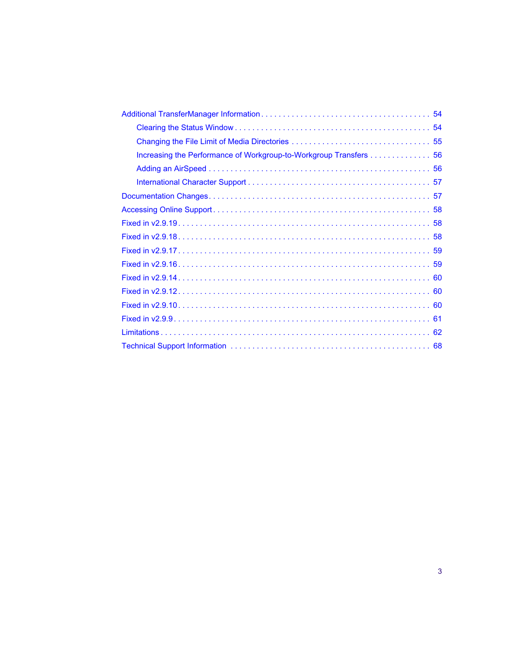| Increasing the Performance of Workgroup-to-Workgroup Transfers 56 |
|-------------------------------------------------------------------|
|                                                                   |
|                                                                   |
|                                                                   |
|                                                                   |
|                                                                   |
|                                                                   |
|                                                                   |
|                                                                   |
|                                                                   |
|                                                                   |
|                                                                   |
|                                                                   |
|                                                                   |
|                                                                   |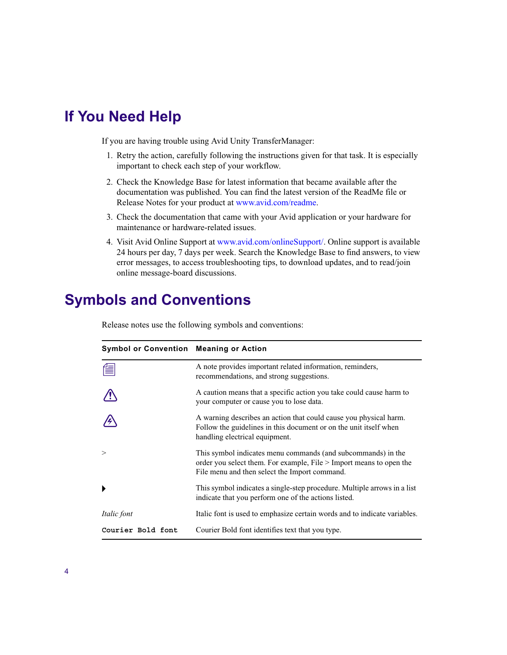# <span id="page-3-0"></span>**If You Need Help**

If you are having trouble using Avid Unity TransferManager:

- 1. Retry the action, carefully following the instructions given for that task. It is especially important to check each step of your workflow.
- 2. [Check the Knowledge Base for latest information that became available after the](//www.avid.com/readme)  [documentation was published. You can find the latest version of the ReadMe file or](//www.avid.com/readme)  [Release Notes for your product at](//www.avid.com/readme) www.avid.com/readme.
- 3. Check the documentation that came with your Avid application or your hardware for maintenance or hardware-related issues.
- 4. Visit Avid Online Support at [www.avid.com/onlineSupport/.](http://www.avid.com/onlinesupport) Online support is available 24 hours per day, 7 days per week. Search the Knowledge Base to find answers, to view error messages, to access troubleshooting tips, to download updates, and to read/join online message-board discussions.

# <span id="page-3-1"></span>**Symbols and Conventions**

Release notes use the following symbols and conventions:

| <b>Symbol or Convention Meaning or Action</b> |                                                                                                                                                                                      |  |  |
|-----------------------------------------------|--------------------------------------------------------------------------------------------------------------------------------------------------------------------------------------|--|--|
| 僵                                             | A note provides important related information, reminders,<br>recommendations, and strong suggestions.                                                                                |  |  |
|                                               | A caution means that a specific action you take could cause harm to<br>your computer or cause you to lose data.                                                                      |  |  |
|                                               | A warning describes an action that could cause you physical harm.<br>Follow the guidelines in this document or on the unit itself when<br>handling electrical equipment.             |  |  |
| $\geq$                                        | This symbol indicates menu commands (and subcommands) in the<br>order you select them. For example, File > Import means to open the<br>File menu and then select the Import command. |  |  |
|                                               | This symbol indicates a single-step procedure. Multiple arrows in a list<br>indicate that you perform one of the actions listed.                                                     |  |  |
| <i>Italic font</i>                            | Italic font is used to emphasize certain words and to indicate variables.                                                                                                            |  |  |
| Courier Bold font                             | Courier Bold font identifies text that you type.                                                                                                                                     |  |  |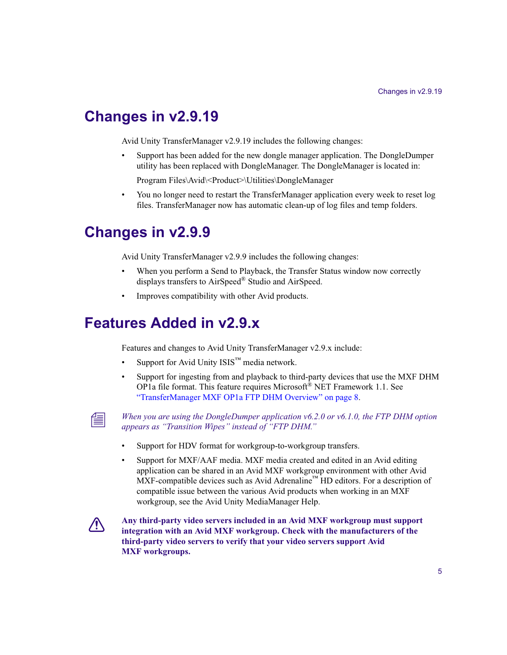# <span id="page-4-0"></span>**Changes in v2.9.19**

Avid Unity TransferManager v2.9.19 includes the following changes:

• Support has been added for the new dongle manager application. The DongleDumper utility has been replaced with DongleManager. The DongleManager is located in:

Program Files\Avid\<Product>\Utilities\DongleManager

• You no longer need to restart the TransferManager application every week to reset log files. TransferManager now has automatic clean-up of log files and temp folders.

# <span id="page-4-1"></span>**Changes in v2.9.9**

Avid Unity TransferManager v2.9.9 includes the following changes:

- When you perform a Send to Playback, the Transfer Status window now correctly displays transfers to AirSpeed® Studio and AirSpeed.
- Improves compatibility with other Avid products.

# <span id="page-4-2"></span>**Features Added in v2.9.x**

Features and changes to Avid Unity TransferManager v2.9.x include:

- Support for Avid Unity  $ISS^m$  media network.
- Support for ingesting from and playback to third-party devices that use the MXF DHM OP1a file format. This feature requires Microsoft<sup>®</sup> NET Framework 1.1. See ["TransferManager MXF OP1a FTP DHM Overview" on page 8](#page-7-0).



n *When you are using the DongleDumper application v6.2.0 or v6.1.0, the FTP DHM option appears as "Transition Wipes" instead of "FTP DHM."*

- Support for HDV format for workgroup-to-workgroup transfers.
- Support for MXF/AAF media. MXF media created and edited in an Avid editing application can be shared in an Avid MXF workgroup environment with other Avid MXF-compatible devices such as Avid Adrenaline™ HD editors. For a description of compatible issue between the various Avid products when working in an MXF workgroup, see the Avid Unity MediaManager Help.



c **Any third-party video servers included in an Avid MXF workgroup must support integration with an Avid MXF workgroup. Check with the manufacturers of the third-party video servers to verify that your video servers support Avid MXF workgroups.**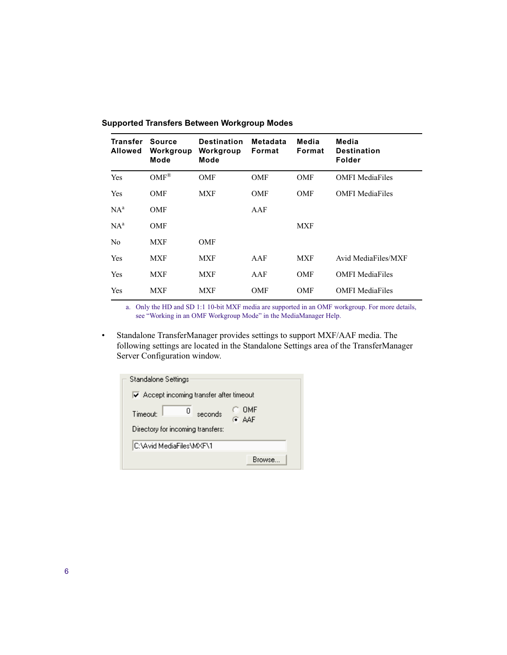| <b>Transfer</b><br><b>Allowed</b> | Source<br>Workgroup<br>Mode | <b>Destination</b><br>Workgroup<br>Mode | Metadata<br>Format | Media<br>Format | Media<br><b>Destination</b><br><b>Folder</b> |
|-----------------------------------|-----------------------------|-----------------------------------------|--------------------|-----------------|----------------------------------------------|
| Yes                               | $OMF^{\otimes}$             | <b>OMF</b>                              | <b>OMF</b>         | <b>OMF</b>      | <b>OMFI</b> MediaFiles                       |
| Yes                               | <b>OMF</b>                  | <b>MXF</b>                              | <b>OMF</b>         | <b>OMF</b>      | <b>OMFI</b> MediaFiles                       |
| $NA^a$                            | <b>OMF</b>                  |                                         | AAF                |                 |                                              |
| $NA^a$                            | <b>OMF</b>                  |                                         |                    | <b>MXF</b>      |                                              |
| N <sub>0</sub>                    | <b>MXF</b>                  | <b>OMF</b>                              |                    |                 |                                              |
| Yes                               | <b>MXF</b>                  | <b>MXF</b>                              | AAF                | <b>MXF</b>      | Avid MediaFiles/MXF                          |
| Yes                               | <b>MXF</b>                  | <b>MXF</b>                              | AAF                | <b>OMF</b>      | <b>OMFI MediaFiles</b>                       |
| Yes                               | <b>MXF</b>                  | <b>MXF</b>                              | OMF                | <b>OMF</b>      | <b>OMFI MediaFiles</b>                       |

### **Supported Transfers Between Workgroup Modes**

a. Only the HD and SD 1:1 10-bit MXF media are supported in an OMF workgroup. For more details, see "Working in an OMF Workgroup Mode" in the MediaManager Help.

• Standalone TransferManager provides settings to support MXF/AAF media. The following settings are located in the Standalone Settings area of the TransferManager Server Configuration window.

| Standalone Settings                                                          |  |
|------------------------------------------------------------------------------|--|
| $\overline{\mathsf{v}}$ Accept incoming transfer after timeout               |  |
| OMF<br>Ω<br>seconds<br>Timenuh<br>G AAF<br>Directory for incoming transfers: |  |
| IC:\Avid MediaFiles\MXF\1                                                    |  |
| Browse                                                                       |  |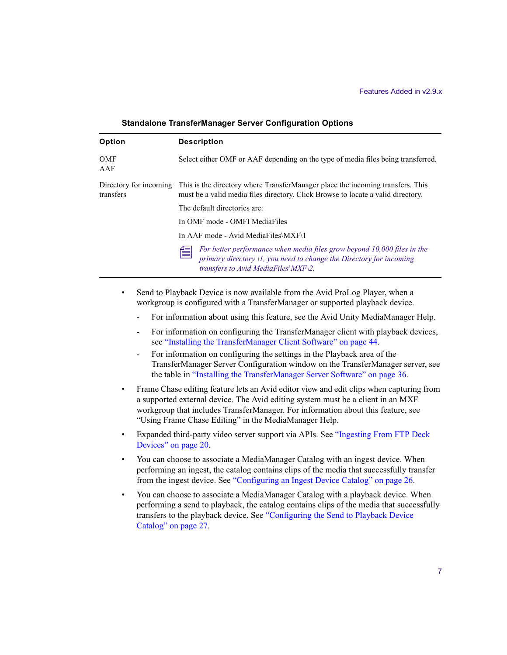| Option            | <b>Description</b>                                                                                                                                                                                     |
|-------------------|--------------------------------------------------------------------------------------------------------------------------------------------------------------------------------------------------------|
| <b>OMF</b><br>AAF | Select either OMF or AAF depending on the type of media files being transferred.                                                                                                                       |
| transfers         | Directory for incoming This is the directory where TransferManager place the incoming transfers. This<br>must be a valid media files directory. Click Browse to locate a valid directory.              |
|                   | The default directories are:                                                                                                                                                                           |
|                   | In OMF mode - OMFI MediaFiles                                                                                                                                                                          |
|                   | In AAF mode - Avid MediaFiles\MXF\1                                                                                                                                                                    |
|                   | For better performance when media files grow beyond 10,000 files in the<br>傽<br>primary directory $\mathcal{U}$ , you need to change the Directory for incoming<br>transfers to Avid MediaFiles\MXF\2. |

#### **Standalone TransferManager Server Configuration Options**

- Send to Playback Device is now available from the Avid ProLog Player, when a workgroup is configured with a TransferManager or supported playback device.
	- For information about using this feature, see the Avid Unity MediaManager Help.
	- For information on configuring the TransferManager client with playback devices, see ["Installing the TransferManager Client Software" on page 44](#page-43-1).
	- For information on configuring the settings in the Playback area of the TransferManager Server Configuration window on the TransferManager server, see the table in ["Installing the TransferManager Server Software" on page 36.](#page-35-0)
- Frame Chase editing feature lets an Avid editor view and edit clips when capturing from a supported external device. The Avid editing system must be a client in an MXF workgroup that includes TransferManager. For information about this feature, see "Using Frame Chase Editing" in the MediaManager Help.
- Expanded third-party video server support via APIs. See ["Ingesting From FTP Deck](#page-19-0)  [Devices" on page 20.](#page-19-0)
- You can choose to associate a MediaManager Catalog with an ingest device. When performing an ingest, the catalog contains clips of the media that successfully transfer from the ingest device. See ["Configuring an Ingest Device Catalog" on page 26.](#page-25-0)
- You can choose to associate a MediaManager Catalog with a playback device. When performing a send to playback, the catalog contains clips of the media that successfully transfers to the playback device. See ["Configuring the Send to Playback Device](#page-26-0)  [Catalog" on page 27](#page-26-0).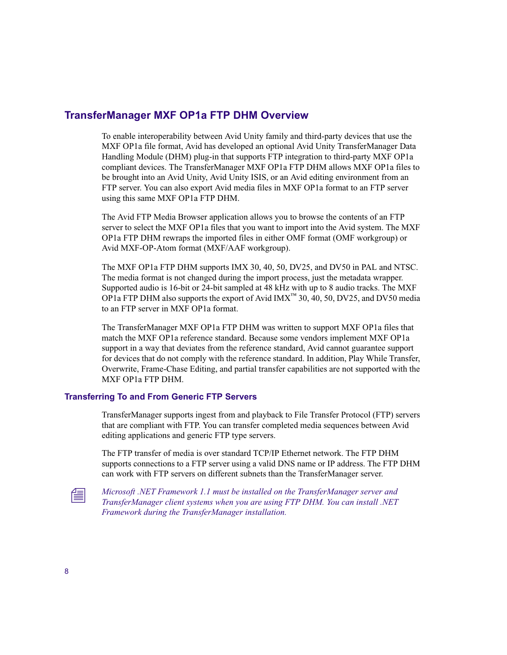# <span id="page-7-0"></span>**TransferManager MXF OP1a FTP DHM Overview**

To enable interoperability between Avid Unity family and third-party devices that use the MXF OP1a file format, Avid has developed an optional Avid Unity TransferManager Data Handling Module (DHM) plug-in that supports FTP integration to third-party MXF OP1a compliant devices. The TransferManager MXF OP1a FTP DHM allows MXF OP1a files to be brought into an Avid Unity, Avid Unity ISIS, or an Avid editing environment from an FTP server. You can also export Avid media files in MXF OP1a format to an FTP server using this same MXF OP1a FTP DHM.

The Avid FTP Media Browser application allows you to browse the contents of an FTP server to select the MXF OP1a files that you want to import into the Avid system. The MXF OP1a FTP DHM rewraps the imported files in either OMF format (OMF workgroup) or Avid MXF-OP-Atom format (MXF/AAF workgroup).

The MXF OP1a FTP DHM supports IMX 30, 40, 50, DV25, and DV50 in PAL and NTSC. The media format is not changed during the import process, just the metadata wrapper. Supported audio is 16-bit or 24-bit sampled at 48 kHz with up to 8 audio tracks. The MXF OP1a FTP DHM also supports the export of Avid  $IMX<sup>TM</sup>$  30, 40, 50, DV25, and DV50 media to an FTP server in MXF OP1a format.

The TransferManager MXF OP1a FTP DHM was written to support MXF OP1a files that match the MXF OP1a reference standard. Because some vendors implement MXF OP1a support in a way that deviates from the reference standard, Avid cannot guarantee support for devices that do not comply with the reference standard. In addition, Play While Transfer, Overwrite, Frame-Chase Editing, and partial transfer capabilities are not supported with the MXF OP1a FTP DHM.

### **Transferring To and From Generic FTP Servers**

TransferManager supports ingest from and playback to File Transfer Protocol (FTP) servers that are compliant with FTP. You can transfer completed media sequences between Avid editing applications and generic FTP type servers.

The FTP transfer of media is over standard TCP/IP Ethernet network. The FTP DHM supports connections to a FTP server using a valid DNS name or IP address. The FTP DHM can work with FTP servers on different subnets than the TransferManager server.

n *Microsoft .NET Framework 1.1 must be installed on the TransferManager server and TransferManager client systems when you are using FTP DHM. You can install .NET Framework during the TransferManager installation.*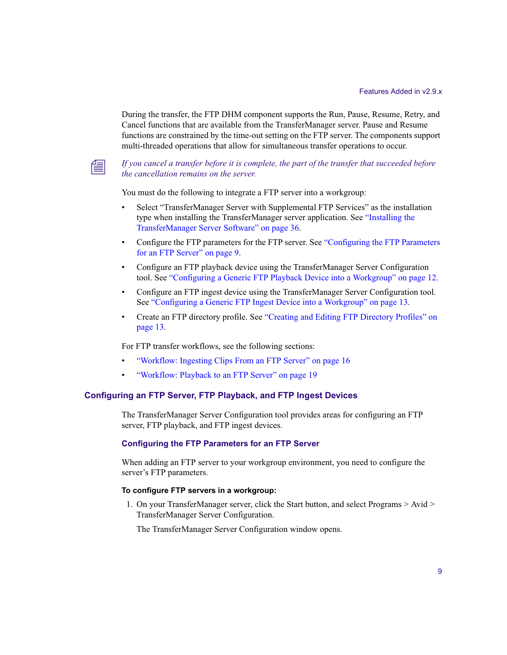During the transfer, the FTP DHM component supports the Run, Pause, Resume, Retry, and Cancel functions that are available from the TransferManager server. Pause and Resume functions are constrained by the time-out setting on the FTP server. The components support multi-threaded operations that allow for simultaneous transfer operations to occur.



n *If you cancel a transfer before it is complete, the part of the transfer that succeeded before the cancellation remains on the server.*

You must do the following to integrate a FTP server into a workgroup:

- Select "TransferManager Server with Supplemental FTP Services" as the installation type when installing the TransferManager server application. See ["Installing the](#page-35-0)  [TransferManager Server Software" on page 36](#page-35-0).
- Configure the FTP parameters for the FTP server. See ["Configuring the FTP Parameters](#page-8-0)  [for an FTP Server" on page 9](#page-8-0).
- Configure an FTP playback device using the TransferManager Server Configuration tool. See ["Configuring a Generic FTP Playback Device into a Workgroup" on page 12.](#page-11-0)
- Configure an FTP ingest device using the TransferManager Server Configuration tool. See ["Configuring a Generic FTP Ingest Device into a Workgroup" on page 13.](#page-12-0)
- Create an FTP directory profile. See ["Creating and Editing FTP Directory Profiles" on](#page-12-1)  [page 13.](#page-12-1)

For FTP transfer workflows, see the following sections:

- ["Workflow: Ingesting Clips From an FTP Server" on page 16](#page-15-0)
- ["Workflow: Playback to an FTP Server" on page 19](#page-18-0)

### <span id="page-8-1"></span>**Configuring an FTP Server, FTP Playback, and FTP Ingest Devices**

The TransferManager Server Configuration tool provides areas for configuring an FTP server, FTP playback, and FTP ingest devices.

### <span id="page-8-0"></span>**Configuring the FTP Parameters for an FTP Server**

When adding an FTP server to your workgroup environment, you need to configure the server's FTP parameters.

#### **To configure FTP servers in a workgroup:**

1. On your TransferManager server, click the Start button, and select Programs > Avid > TransferManager Server Configuration.

The TransferManager Server Configuration window opens.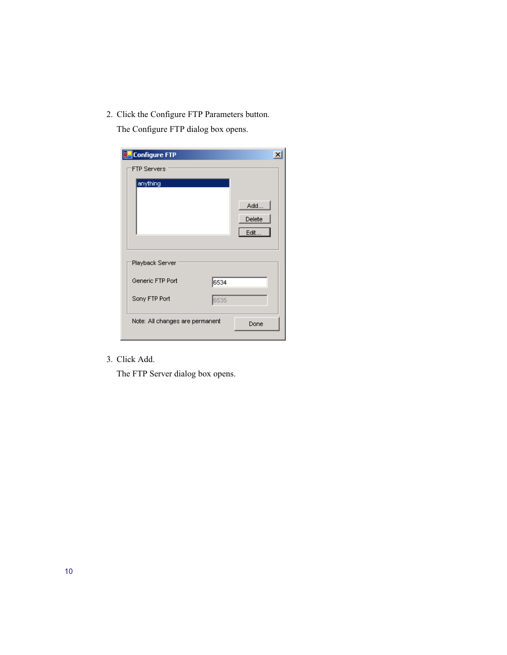2. Click the Configure FTP Parameters button.

The Configure FTP dialog box opens.

| <b>Configure FTP</b>            |      |                       | $\times$ |
|---------------------------------|------|-----------------------|----------|
| <b>FTP Servers</b>              |      |                       |          |
| anything                        |      | Add<br>Delete<br>Edit |          |
| Playback Server                 |      |                       |          |
| Generic FTP Port                | 6534 |                       |          |
| Sony FTP Port                   | 6535 |                       |          |
| Note: All changes are permanent |      | Done                  |          |

3. Click Add.

The FTP Server dialog box opens.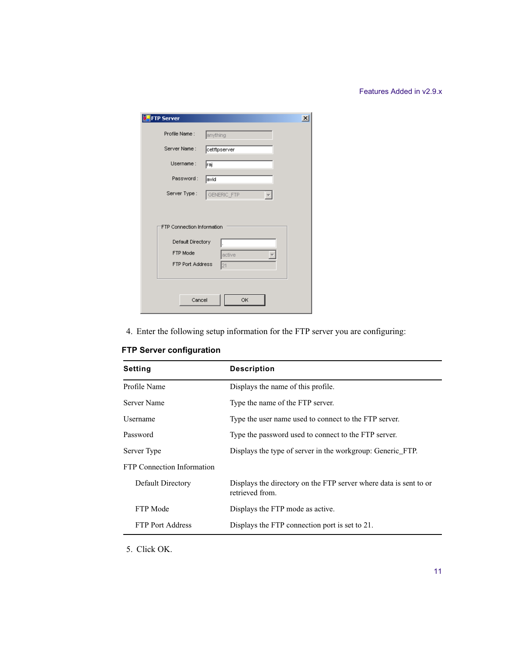| <b>FTP Server</b>          | $\mathbf{x}$ |
|----------------------------|--------------|
| Profile Name:              | anything     |
| Server Name:               | cetftpserver |
| Username:                  | raj          |
| Password:                  | avid         |
| Server Type:               | GENERIC_FTP  |
|                            |              |
| FTP Connection Information |              |
| Default Directory          |              |
| FTP Mode                   | active       |
| <b>FTP Port Address</b>    | 21           |
|                            |              |
|                            |              |
| Cancel                     | OK           |

4. Enter the following setup information for the FTP server you are configuring:

| <b>Setting</b>                    | <b>Description</b>                                                                   |  |
|-----------------------------------|--------------------------------------------------------------------------------------|--|
| Profile Name                      | Displays the name of this profile.                                                   |  |
| Server Name                       | Type the name of the FTP server.                                                     |  |
| Username                          | Type the user name used to connect to the FTP server.                                |  |
| Password                          | Type the password used to connect to the FTP server.                                 |  |
| Server Type                       | Displays the type of server in the workgroup: Generic_FTP.                           |  |
| <b>FTP Connection Information</b> |                                                                                      |  |
| Default Directory                 | Displays the directory on the FTP server where data is sent to or<br>retrieved from. |  |
| FTP Mode                          | Displays the FTP mode as active.                                                     |  |
| <b>FTP Port Address</b>           | Displays the FTP connection port is set to 21.                                       |  |

**FTP Server configuration** 

5. Click OK.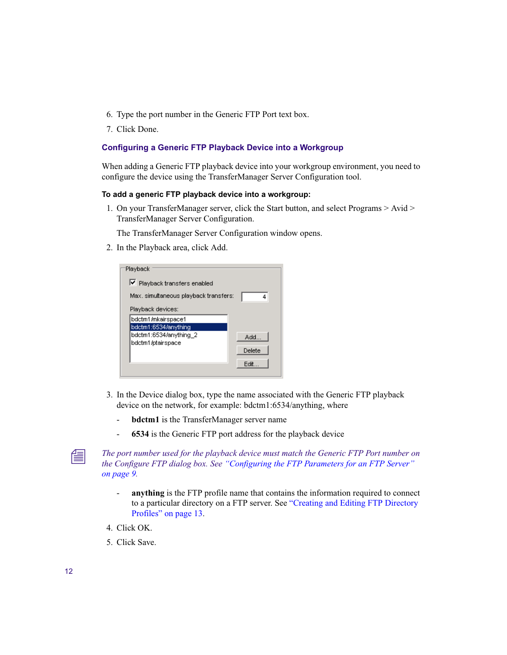- 6. Type the port number in the Generic FTP Port text box.
- 7. Click Done.

### <span id="page-11-0"></span>**Configuring a Generic FTP Playback Device into a Workgroup**

When adding a Generic FTP playback device into your workgroup environment, you need to configure the device using the TransferManager Server Configuration tool.

### **To add a generic FTP playback device into a workgroup:**

1. On your TransferManager server, click the Start button, and select Programs > Avid > TransferManager Server Configuration.

The TransferManager Server Configuration window opens.

2. In the Playback area, click Add.

| Playback                              |        |
|---------------------------------------|--------|
| Ⅳ Playback transfers enabled          |        |
| Max, simultaneous playback transfers: | ₫      |
| Playback devices:                     |        |
| bdctm1/mkairspace1                    |        |
| bdctm1:6534/anything                  |        |
| bdctm1:6534/anything 2                | Add    |
| bdctm1/ptairspace                     |        |
|                                       | Delete |
|                                       | Edit   |
|                                       |        |

- 3. In the Device dialog box, type the name associated with the Generic FTP playback device on the network, for example: bdctm1:6534/anything, where
	- **bdctm1** is the TransferManager server name
	- **6534** is the Generic FTP port address for the playback device

The port number used for the playback device must match the Generic FTP Port number on **FTP**  $\alpha$ *the Configure FTP dialog box. See ["Configuring the FTP Parameters for an FTP Server"](#page-8-0)  [on page 9](#page-8-0).*

- **anything** is the FTP profile name that contains the information required to connect to a particular directory on a FTP server. See ["Creating and Editing FTP Directory](#page-12-1)  [Profiles" on page 13.](#page-12-1)
- 4. Click OK.
- 5. Click Save.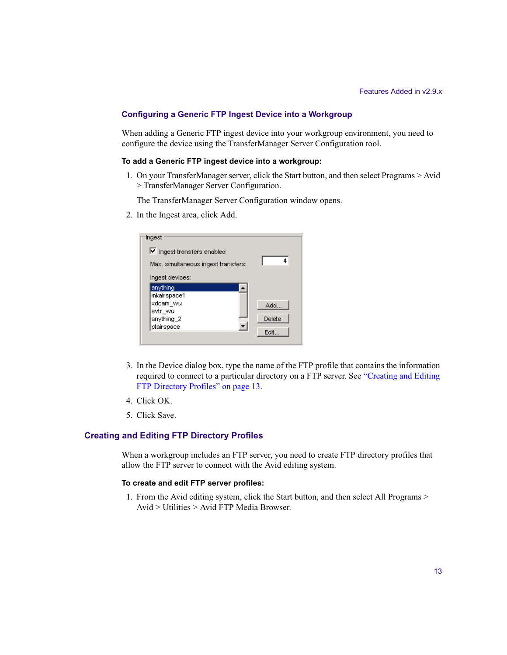### <span id="page-12-0"></span>**Configuring a Generic FTP Ingest Device into a Workgroup**

When adding a Generic FTP ingest device into your workgroup environment, you need to configure the device using the TransferManager Server Configuration tool.

#### **To add a Generic FTP ingest device into a workgroup:**

1. On your TransferManager server, click the Start button, and then select Programs > Avid > TransferManager Server Configuration.

The TransferManager Server Configuration window opens.

2. In the Ingest area, click Add.

| Ingest                              |        |
|-------------------------------------|--------|
| Ingest transfers enabled            |        |
| Max, simultaneous ingest transfers: | 4      |
| Ingest devices:                     |        |
| anything                            |        |
| mkairspace1                         |        |
| xdcam_wu                            | Add    |
| evtr wu                             |        |
| anything_2                          | Delete |
| ptairspace                          |        |
|                                     | Edit   |

- 3. In the Device dialog box, type the name of the FTP profile that contains the information required to connect to a particular directory on a FTP server. See ["Creating and Editing](#page-12-1)  [FTP Directory Profiles" on page 13](#page-12-1).
- 4. Click OK.
- 5. Click Save.

### <span id="page-12-1"></span>**Creating and Editing FTP Directory Profiles**

When a workgroup includes an FTP server, you need to create FTP directory profiles that allow the FTP server to connect with the Avid editing system.

#### **To create and edit FTP server profiles:**

1. From the Avid editing system, click the Start button, and then select All Programs > Avid > Utilities > Avid FTP Media Browser.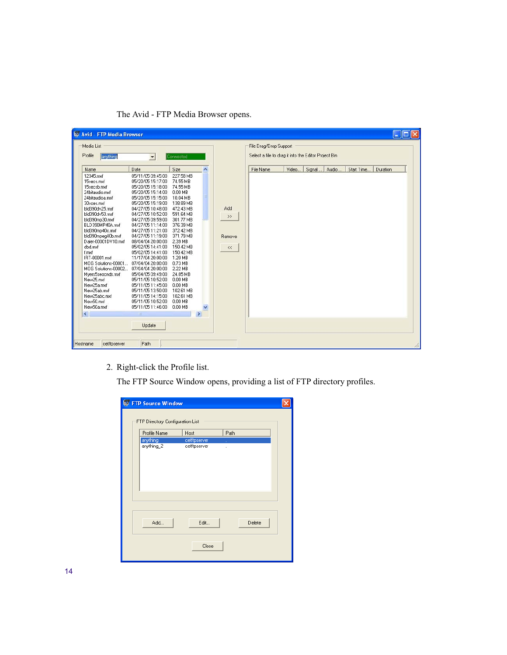| Media List<br>Profile                                                                                                                                                                                                                                                                                                                                                                                                                                            |                                                                                                                                                                                                                                                                                                                                                                                                                                                                                                                                                            |                                                                                                                                                                                                                                                                                                             |                        |                                                           | File Drag/Drop Support<br>Select a file to drag it into the Editor Project Bin |        |       |            |          |
|------------------------------------------------------------------------------------------------------------------------------------------------------------------------------------------------------------------------------------------------------------------------------------------------------------------------------------------------------------------------------------------------------------------------------------------------------------------|------------------------------------------------------------------------------------------------------------------------------------------------------------------------------------------------------------------------------------------------------------------------------------------------------------------------------------------------------------------------------------------------------------------------------------------------------------------------------------------------------------------------------------------------------------|-------------------------------------------------------------------------------------------------------------------------------------------------------------------------------------------------------------------------------------------------------------------------------------------------------------|------------------------|-----------------------------------------------------------|--------------------------------------------------------------------------------|--------|-------|------------|----------|
| anything                                                                                                                                                                                                                                                                                                                                                                                                                                                         | $\vert \cdot \vert$                                                                                                                                                                                                                                                                                                                                                                                                                                                                                                                                        | Connected                                                                                                                                                                                                                                                                                                   |                        |                                                           |                                                                                |        |       |            |          |
| Name                                                                                                                                                                                                                                                                                                                                                                                                                                                             | Date                                                                                                                                                                                                                                                                                                                                                                                                                                                                                                                                                       | Size                                                                                                                                                                                                                                                                                                        | $\boldsymbol{\lambda}$ | File Name                                                 | Video                                                                          | Signal | Audio | Start Time | Duration |
| 12345.mxf<br>15secs.mxf<br>15secsb.mxf<br>24 bitaudio.mxf<br>24 bitaudioa.mxf<br>30sces.mxf<br>bld390dv25.mxf<br>bld390dv50.mxf<br>bld390mp30.mxf<br>BLD390MP40A.mxf<br>bld390mp40c.mxf<br>bld390mpeg40b.mxf<br>Dalet-00001DV10.mxf<br>dbd.mxf<br>f.mxf<br>IRT-00001.mxf<br>MOG Solutions-00001<br>MOG Solutions-00002<br>Mvers5seocnds.mxf<br>New25.mxf<br>New25a.mxf<br>New25ab.mxf<br>New25abc.mxf<br>New50.mxf<br>New50a.mxf<br>$\left\langle \right\rangle$ | 05/11/05 09:45:00<br>05/20/05 15:17:00<br>05/20/05 15:18:00<br>05/20/05 15:14:00<br>05/20/05 15:15:00<br>05/20/05 15:19:00<br>04/27/05 10:48:00<br>04/27/05 10:52:00<br>04/27/05 09:59:00<br>04/27/05 11:14:00<br>04/27/05 11:21:00<br>04/27/05 11:19:00<br>08/04/04 20:00:00<br>05/02/05 14:41:00<br>05/02/05 14:41:00<br>11/17/04 20:00:00<br>07/04/04 20:00:00<br>07/04/04 20:00:00<br>05/04/05 09:49:00<br>05/11/05 10:52:00<br>05/11/05 11:45:00<br>05/11/05 13:50:00<br>05/11/05 14:15:00<br>05/11/05 10:52:00<br>05/11/05 11:46:00<br>III<br>Update | 227.58 MB<br>74.55 MB<br>74.55 MB<br>0.00 MB<br>10.04 MB<br>138.89 MB<br>472.43 MB<br>591.64 MB<br>301.77 MB<br>376.39 MB<br>372.42 MB<br>371.79 MB<br>2.39 MB<br>150.42 MB<br>150.42 MB<br>1.20 MB<br>0.73 MB<br>2.22 MB<br>24.85 MB<br>0.00 MB<br>0.00 MB<br>102.61 MB<br>102.61 MB<br>0.00 MB<br>0.00 MB | Ξ<br>$\rightarrow$     | Add<br>$\left. \right\rangle$<br>Remove<br>$\prec\!\prec$ |                                                                                |        |       |            |          |

The Avid - FTP Media Browser opens.

2. Right-click the Profile list.

The FTP Source Window opens, providing a list of FTP directory profiles.

| Profile Name           | Host                         | Path   |
|------------------------|------------------------------|--------|
| anything<br>anything_2 | cetftpserver<br>cetftpserver |        |
| Add                    | Edit                         | Delete |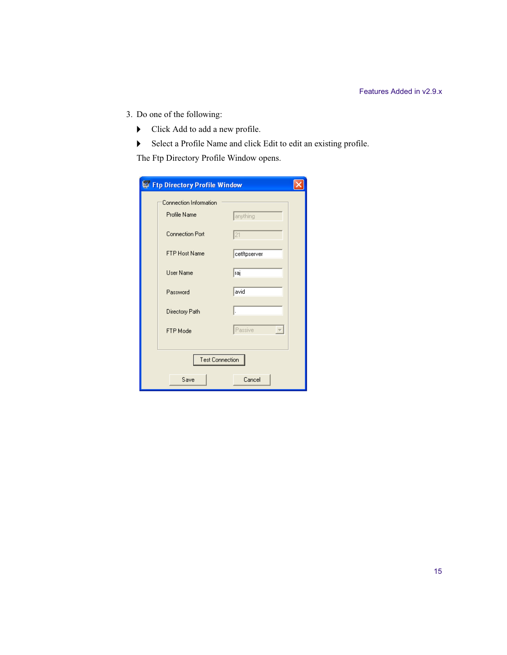- 3. Do one of the following:
	- $\blacktriangleright$  Click Add to add a new profile.
	- $\blacktriangleright$  Select a Profile Name and click Edit to edit an existing profile.

The Ftp Directory Profile Window opens.

|                        | <b>Ftp Directory Profile Window</b> |                                    |  |  |
|------------------------|-------------------------------------|------------------------------------|--|--|
|                        | <b>Connection Information</b>       |                                    |  |  |
|                        | Profile Name                        | anything                           |  |  |
|                        | <b>Connection Port</b>              | 21                                 |  |  |
|                        | <b>FTP Host Name</b>                | cetftpserver                       |  |  |
|                        | User Name                           | raj                                |  |  |
|                        | Password                            | avid                               |  |  |
|                        | Directory Path                      | ı.                                 |  |  |
|                        | FTP Mode                            | Passive<br>$\left  \nabla \right $ |  |  |
|                        |                                     |                                    |  |  |
| <b>Test Connection</b> |                                     |                                    |  |  |
|                        | Save                                | Cancel                             |  |  |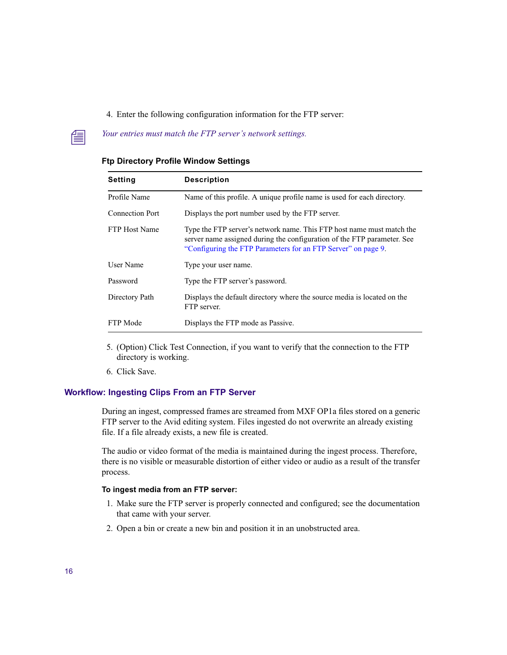### 4. Enter the following configuration information for the FTP server:

# **Nour entries must match the FTP server's network settings.**

| <b>Setting</b>         | <b>Description</b>                                                                                                                                                                                                |
|------------------------|-------------------------------------------------------------------------------------------------------------------------------------------------------------------------------------------------------------------|
| Profile Name           | Name of this profile. A unique profile name is used for each directory.                                                                                                                                           |
| <b>Connection Port</b> | Displays the port number used by the FTP server.                                                                                                                                                                  |
| <b>FTP Host Name</b>   | Type the FTP server's network name. This FTP host name must match the<br>server name assigned during the configuration of the FTP parameter. See<br>"Configuring the FTP Parameters for an FTP Server" on page 9. |
| User Name              | Type your user name.                                                                                                                                                                                              |
| Password               | Type the FTP server's password.                                                                                                                                                                                   |
| Directory Path         | Displays the default directory where the source media is located on the<br>FTP server.                                                                                                                            |
| FTP Mode               | Displays the FTP mode as Passive.                                                                                                                                                                                 |

#### **Ftp Directory Profile Window Settings**

- 5. (Option) Click Test Connection, if you want to verify that the connection to the FTP directory is working.
- 6. Click Save.

### <span id="page-15-0"></span>**Workflow: Ingesting Clips From an FTP Server**

During an ingest, compressed frames are streamed from MXF OP1a files stored on a generic FTP server to the Avid editing system. Files ingested do not overwrite an already existing file. If a file already exists, a new file is created.

The audio or video format of the media is maintained during the ingest process. Therefore, there is no visible or measurable distortion of either video or audio as a result of the transfer process.

#### **To ingest media from an FTP server:**

- 1. Make sure the FTP server is properly connected and configured; see the documentation that came with your server.
- 2. Open a bin or create a new bin and position it in an unobstructed area.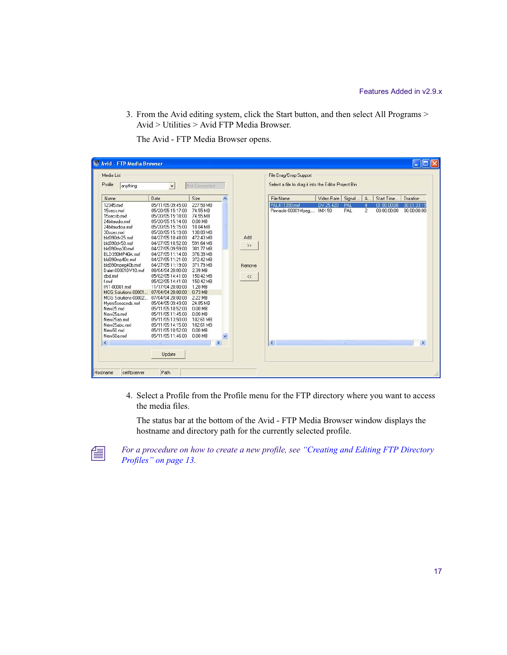3. From the Avid editing system, click the Start button, and then select All Programs > Avid > Utilities > Avid FTP Media Browser.

| Media List                                                                                                                                                                                                                                                                                                                                                                                                                                                         |                                                                                                                                                                                                                                                                                                                                                                                                                                                                                                                                                                    |                                                                                                                                                                                                                                                                                                               |                          |                                                  | File Drag/Drop Support                                              |                           |                                                        |                            |                                             |
|--------------------------------------------------------------------------------------------------------------------------------------------------------------------------------------------------------------------------------------------------------------------------------------------------------------------------------------------------------------------------------------------------------------------------------------------------------------------|--------------------------------------------------------------------------------------------------------------------------------------------------------------------------------------------------------------------------------------------------------------------------------------------------------------------------------------------------------------------------------------------------------------------------------------------------------------------------------------------------------------------------------------------------------------------|---------------------------------------------------------------------------------------------------------------------------------------------------------------------------------------------------------------------------------------------------------------------------------------------------------------|--------------------------|--------------------------------------------------|---------------------------------------------------------------------|---------------------------|--------------------------------------------------------|----------------------------|---------------------------------------------|
| Profile<br>anything                                                                                                                                                                                                                                                                                                                                                                                                                                                | $\overline{\phantom{a}}$                                                                                                                                                                                                                                                                                                                                                                                                                                                                                                                                           | Not Connected                                                                                                                                                                                                                                                                                                 |                          |                                                  | Select a file to drag it into the Editor Project Bin                |                           |                                                        |                            |                                             |
| Name                                                                                                                                                                                                                                                                                                                                                                                                                                                               | Date                                                                                                                                                                                                                                                                                                                                                                                                                                                                                                                                                               | Size                                                                                                                                                                                                                                                                                                          | $\overline{\phantom{a}}$ |                                                  | File Name                                                           | Video Rate                | Signal<br>A.,                                          | Start Time                 | Duration                                    |
| 12345.mxf<br>15 secs.mxf<br>15secsb.mxf<br>24 bitaudio.mxf<br>24 bitaudioa.mxf<br>30sces.mxf<br>bld390dv25.mxf<br>bld390dv50.mxf<br>bld390mp30.mxf<br>BLD390MP40A.mxf<br>bld390mp40c.mxf<br>bld390mpeg40b.mxf<br>Dalet-00001DV10.mxf<br>dbd.mxf<br>f.mxf<br>IRT-00001.mxf<br>MOG Solutions-00001<br>MOG Solutions-00002.<br>Mvers5seocnds.mxf<br>New25.mxf<br>New25a.mxf<br>New25ab.mxf<br>New25abc.mxf<br>New50.mxf<br>New50a.mxf<br>$\left\langle \right\rangle$ | 05/11/05 09:45:00<br>05/20/05 15:17:00<br>05/20/05 15:18:00<br>05/20/05 15:14:00<br>05/20/05 15:15:00<br>05/20/05 15:19:00<br>04/27/05 10:48:00<br>04/27/05 10:52:00<br>04/27/05 09:59:00<br>04/27/05 11:14:00<br>04/27/05 11:21:00<br>04/27/05 11:19:00<br>08/04/04 20:00:00<br>05/02/05 14:41:00<br>05/02/05 14:41:00<br>11/17/04 20:00:00<br>07/04/04 20:00:00<br>07/04/04 20:00:00<br>05/04/05 09:49:00<br>05/11/05 10:52:00<br>05/11/05 11:45:00<br>05/11/05 13:50:00<br>05/11/05 14:15:00<br>05/11/05 10:52:00<br>05/11/05 11:46:00<br><b>IIII</b><br>Update | 227.58 MB<br>74.55 MB<br>74.55 MB<br>0.00 MB<br>10.04 MB<br>138.89 MB<br>472.43 MB<br>591.64 MB<br>301.77 MB<br>376.39 MB<br>372.42 MB<br>371.79 MB<br>2.39 MB<br>150.42 MB<br>150.42 MB<br>1.20 MB<br>0.73 MB<br>2.22 MB<br>24.85 MB<br>$0.00$ MB<br>0.00 MB<br>102.61 MB<br>102.61 MB<br>0.00 MB<br>0.00 MB | $\rightarrow$            | Add<br>$\rightarrow$<br>Remove<br>$\prec\!\prec$ | PAL411390.mxf<br>Pinnacle-00001Mpeg<br>$\left\langle \right\rangle$ | DV 25 420<br><b>IMX50</b> | PAL<br>$\overline{4}$<br>PAL<br>$\overline{2}$<br>THE. | 01:00:00:00<br>00:00:00:00 | 00:01:33:19<br>00:00:00:00<br>$\rightarrow$ |

The Avid - FTP Media Browser opens.

4. Select a Profile from the Profile menu for the FTP directory where you want to access the media files.

The status bar at the bottom of the Avid - FTP Media Browser window displays the hostname and directory path for the currently selected profile.



n *For a procedure on how to create a new profile, see ["Creating and Editing FTP Directory](#page-12-1)  [Profiles" on page 13](#page-12-1).*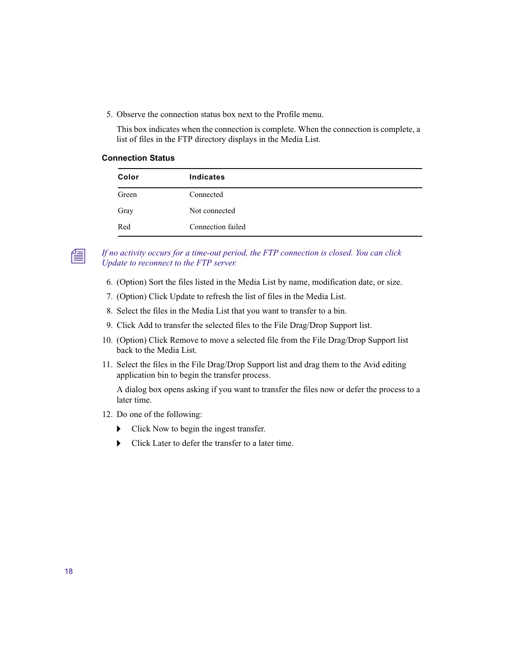5. Observe the connection status box next to the Profile menu.

This box indicates when the connection is complete. When the connection is complete, a list of files in the FTP directory displays in the Media List.

#### **Connection Status**

| Color | <b>Indicates</b>  |
|-------|-------------------|
| Green | Connected         |
| Gray  | Not connected     |
| Red   | Connection failed |

n *If no activity occurs for a time-out period, the FTP connection is closed. You can click Update to reconnect to the FTP server.*

- 6. (Option) Sort the files listed in the Media List by name, modification date, or size.
- 7. (Option) Click Update to refresh the list of files in the Media List.
- 8. Select the files in the Media List that you want to transfer to a bin.
- 9. Click Add to transfer the selected files to the File Drag/Drop Support list.
- 10. (Option) Click Remove to move a selected file from the File Drag/Drop Support list back to the Media List.
- 11. Select the files in the File Drag/Drop Support list and drag them to the Avid editing application bin to begin the transfer process.

A dialog box opens asking if you want to transfer the files now or defer the process to a later time.

- 12. Do one of the following:
	- $\triangleright$  Click Now to begin the ingest transfer.
	- $\blacktriangleright$  Click Later to defer the transfer to a later time.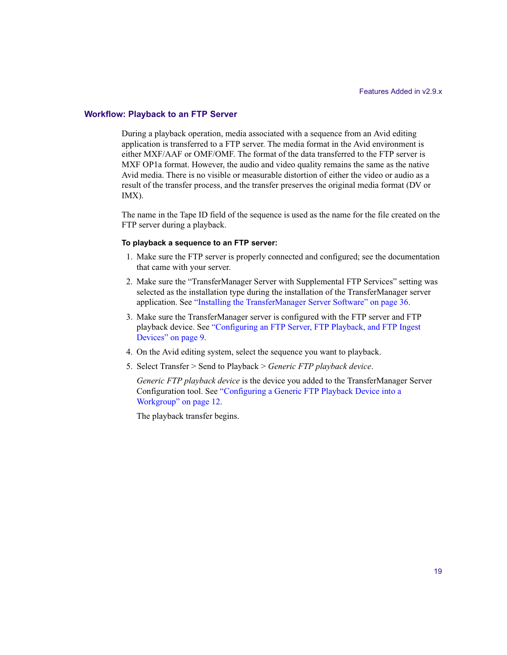#### <span id="page-18-0"></span>**Workflow: Playback to an FTP Server**

During a playback operation, media associated with a sequence from an Avid editing application is transferred to a FTP server. The media format in the Avid environment is either MXF/AAF or OMF/OMF. The format of the data transferred to the FTP server is MXF OP1a format. However, the audio and video quality remains the same as the native Avid media. There is no visible or measurable distortion of either the video or audio as a result of the transfer process, and the transfer preserves the original media format (DV or IMX).

The name in the Tape ID field of the sequence is used as the name for the file created on the FTP server during a playback.

#### **To playback a sequence to an FTP server:**

- 1. Make sure the FTP server is properly connected and configured; see the documentation that came with your server.
- 2. Make sure the "TransferManager Server with Supplemental FTP Services" setting was selected as the installation type during the installation of the TransferManager server application. See ["Installing the TransferManager Server Software" on page 36](#page-35-0).
- 3. Make sure the TransferManager server is configured with the FTP server and FTP playback device. See ["Configuring an FTP Server, FTP Playback, and FTP Ingest](#page-8-1)  [Devices" on page 9.](#page-8-1)
- 4. On the Avid editing system, select the sequence you want to playback.
- 5. Select Transfer > Send to Playback > *Generic FTP playback device*.

*Generic FTP playback device* is the device you added to the TransferManager Server Configuration tool. See ["Configuring a Generic FTP Playback Device into a](#page-11-0)  [Workgroup" on page 12.](#page-11-0)

The playback transfer begins.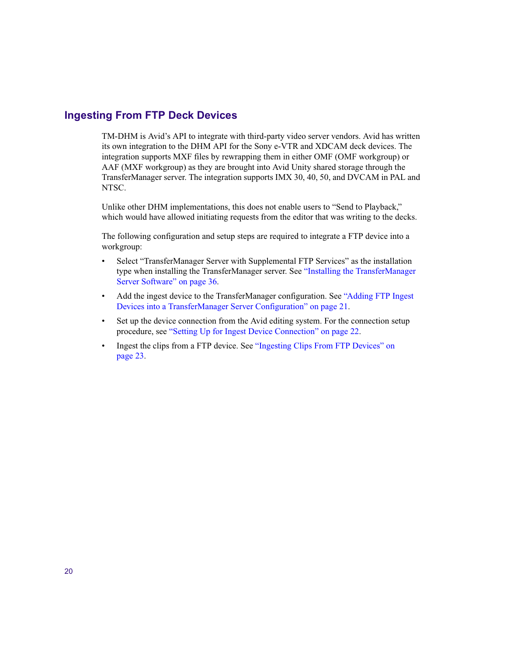# <span id="page-19-0"></span>**Ingesting From FTP Deck Devices**

TM-DHM is Avid's API to integrate with third-party video server vendors. Avid has written its own integration to the DHM API for the Sony e-VTR and XDCAM deck devices. The integration supports MXF files by rewrapping them in either OMF (OMF workgroup) or AAF (MXF workgroup) as they are brought into Avid Unity shared storage through the TransferManager server. The integration supports IMX 30, 40, 50, and DVCAM in PAL and NTSC.

Unlike other DHM implementations, this does not enable users to "Send to Playback," which would have allowed initiating requests from the editor that was writing to the decks.

The following configuration and setup steps are required to integrate a FTP device into a workgroup:

- Select "TransferManager Server with Supplemental FTP Services" as the installation type when installing the TransferManager server. See ["Installing the TransferManager](#page-35-0)  [Server Software" on page 36.](#page-35-0)
- Add the ingest device to the TransferManager configuration. See "Adding FTP Ingest" [Devices into a TransferManager Server Configuration" on page 21](#page-20-0).
- Set up the device connection from the Avid editing system. For the connection setup procedure, see ["Setting Up for Ingest Device Connection" on page 22.](#page-21-0)
- Ingest the clips from a FTP device. See "Ingesting Clips From FTP Devices" on [page 23.](#page-22-0)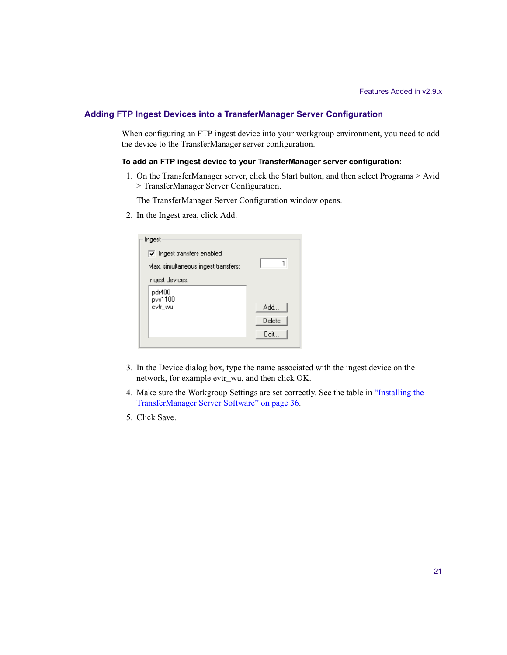### <span id="page-20-0"></span>**Adding FTP Ingest Devices into a TransferManager Server Configuration**

When configuring an FTP ingest device into your workgroup environment, you need to add the device to the TransferManager server configuration.

#### **To add an FTP ingest device to your TransferManager server configuration:**

1. On the TransferManager server, click the Start button, and then select Programs > Avid > TransferManager Server Configuration.

The TransferManager Server Configuration window opens.

2. In the Ingest area, click Add.

| Ingest                              |        |
|-------------------------------------|--------|
| $\nabla$ Ingest transfers enabled   |        |
| Max, simultaneous ingest transfers: |        |
| Ingest devices:                     |        |
| pdr400<br>pvs1100                   |        |
| evtr wu                             | Add    |
|                                     | Delete |
|                                     | Edit   |
|                                     |        |

- 3. In the Device dialog box, type the name associated with the ingest device on the network, for example evtr\_wu, and then click OK.
- 4. Make sure the Workgroup Settings are set correctly. See the table in ["Installing the](#page-35-0)  [TransferManager Server Software" on page 36](#page-35-0).
- 5. Click Save.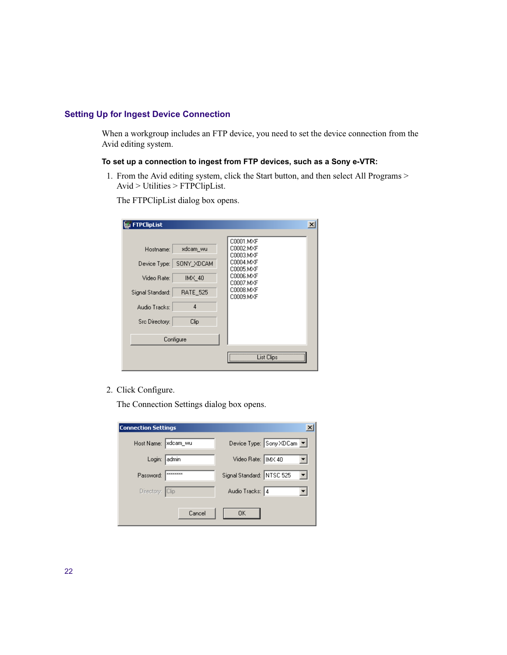### <span id="page-21-0"></span>**Setting Up for Ingest Device Connection**

When a workgroup includes an FTP device, you need to set the device connection from the Avid editing system.

### **To set up a connection to ingest from FTP devices, such as a Sony e-VTR:**

1. From the Avid editing system, click the Start button, and then select All Programs > Avid > Utilities > FTPClipList.

The FTPClipList dialog box opens.

| <b>FTPClipList</b>                                                                                                                                                  |                                                                                                                   |
|---------------------------------------------------------------------------------------------------------------------------------------------------------------------|-------------------------------------------------------------------------------------------------------------------|
| xdcam wu<br>Hostname:<br>SONY_XDCAM<br>Device Type:<br>IMX 40<br>Video Rate:<br><b>RATE 525</b><br>Signal Standard:<br>4<br>Audio Tracks:<br>Clip<br>Src Directory: | C0001.MXF<br>C0002.MXF<br>C0003.MXF<br>C0004.MXF<br>C0005.MXF<br>C0006.MXF<br>C0007.MXF<br>C0008.MXF<br>C0009.MXF |
| Configure                                                                                                                                                           |                                                                                                                   |
|                                                                                                                                                                     | List Clips                                                                                                        |

2. Click Configure.

The Connection Settings dialog box opens.

| <b>Connection Settings</b> |                  |                           | ×                       |
|----------------------------|------------------|---------------------------|-------------------------|
| Host Name:  xdcam_wu       |                  |                           | Device Type: Sony XDCam |
| Login:                     | admin            | Video Rate:   IMX 40      |                         |
| Password:                  | <b>xxxxxxxxx</b> | Signal Standard: NTSC 525 |                         |
| Directory: Clip            |                  | Audio Tracks: 4           |                         |
|                            | Cancel           | OΚ                        |                         |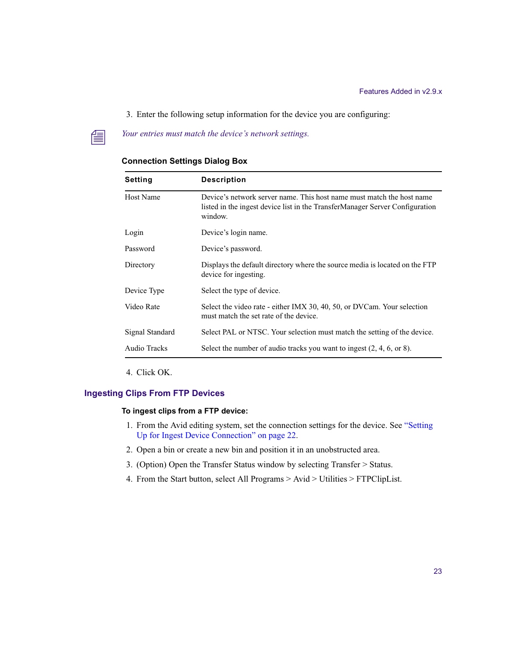- 3. Enter the following setup information for the device you are configuring:
- **The** *Your entries must match the device's network settings.*

| Setting          | <b>Description</b>                                                                                                                                               |
|------------------|------------------------------------------------------------------------------------------------------------------------------------------------------------------|
| <b>Host Name</b> | Device's network server name. This host name must match the host name<br>listed in the ingest device list in the TransferManager Server Configuration<br>window. |
| Login            | Device's login name.                                                                                                                                             |
| Password         | Device's password.                                                                                                                                               |
| Directory        | Displays the default directory where the source media is located on the FTP<br>device for ingesting.                                                             |
| Device Type      | Select the type of device.                                                                                                                                       |
| Video Rate       | Select the video rate - either IMX 30, 40, 50, or DVCam. Your selection<br>must match the set rate of the device.                                                |
| Signal Standard  | Select PAL or NTSC. Your selection must match the setting of the device.                                                                                         |
| Audio Tracks     | Select the number of audio tracks you want to ingest $(2, 4, 6, \text{or } 8)$ .                                                                                 |

### **Connection Settings Dialog Box**

4. Click OK.

### <span id="page-22-0"></span>**Ingesting Clips From FTP Devices**

#### **To ingest clips from a FTP device:**

- 1. From the Avid editing system, set the connection settings for the device. See ["Setting](#page-21-0)  [Up for Ingest Device Connection" on page 22](#page-21-0).
- 2. Open a bin or create a new bin and position it in an unobstructed area.
- 3. (Option) Open the Transfer Status window by selecting Transfer > Status.
- 4. From the Start button, select All Programs > Avid > Utilities > FTPClipList.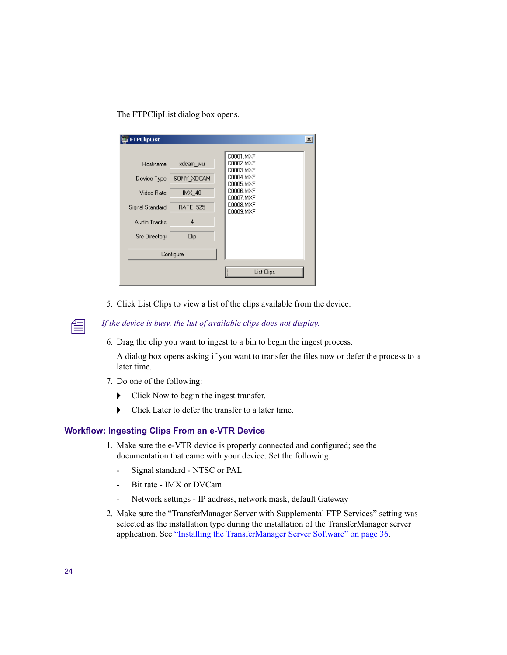The FTPClipList dialog box opens.

| <b>FTPClipList</b>                                                                                                                                                  | $\times$                                                                                                          |
|---------------------------------------------------------------------------------------------------------------------------------------------------------------------|-------------------------------------------------------------------------------------------------------------------|
| xdcam_wu<br>Hostname:<br>SONY_XDCAM<br>Device Type:<br>IMX_40<br>Video Rate:<br><b>RATE_525</b><br>Signal Standard:<br>4<br>Audio Tracks:<br>Clip<br>Src Directory: | C0001.MXF<br>C0002.MXF<br>C0003.MXF<br>C0004.MXF<br>C0005.MXF<br>C0006.MXF<br>C0007.MXF<br>C0008.MXF<br>C0009.MXF |
| Configure                                                                                                                                                           |                                                                                                                   |
|                                                                                                                                                                     | ist Clips                                                                                                         |

5. Click List Clips to view a list of the clips available from the device.

n *If the device is busy, the list of available clips does not display.*

6. Drag the clip you want to ingest to a bin to begin the ingest process.

A dialog box opens asking if you want to transfer the files now or defer the process to a later time.

- 7. Do one of the following:
	- $\triangleright$  Click Now to begin the ingest transfer.
	- $\blacktriangleright$  Click Later to defer the transfer to a later time.

### **Workflow: Ingesting Clips From an e-VTR Device**

- 1. Make sure the e-VTR device is properly connected and configured; see the documentation that came with your device. Set the following:
	- Signal standard NTSC or PAL
	- Bit rate IMX or DVCam
	- Network settings IP address, network mask, default Gateway
- 2. Make sure the "TransferManager Server with Supplemental FTP Services" setting was selected as the installation type during the installation of the TransferManager server application. See ["Installing the TransferManager Server Software" on page 36](#page-35-0).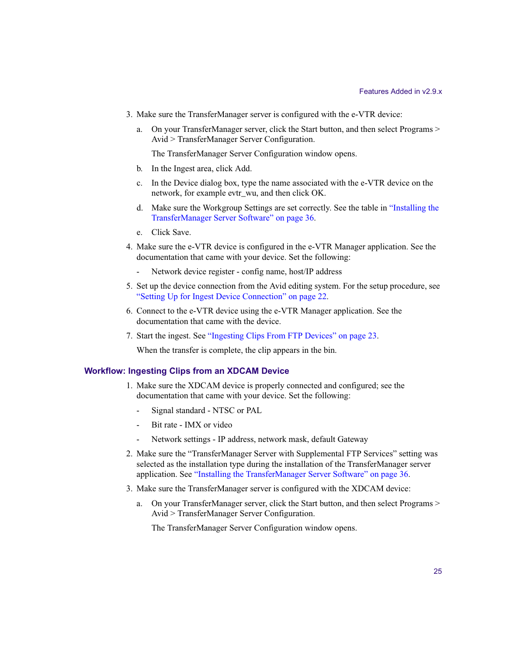- 3. Make sure the TransferManager server is configured with the e-VTR device:
	- a. On your TransferManager server, click the Start button, and then select Programs > Avid > TransferManager Server Configuration.

The TransferManager Server Configuration window opens.

- b. In the Ingest area, click Add.
- c. In the Device dialog box, type the name associated with the e-VTR device on the network, for example evtr\_wu, and then click OK.
- d. Make sure the Workgroup Settings are set correctly. See the table in ["Installing the](#page-35-0)  [TransferManager Server Software" on page 36](#page-35-0).
- e. Click Save.
- 4. Make sure the e-VTR device is configured in the e-VTR Manager application. See the documentation that came with your device. Set the following:
	- Network device register config name, host/IP address
- 5. Set up the device connection from the Avid editing system. For the setup procedure, see ["Setting Up for Ingest Device Connection" on page 22](#page-21-0).
- 6. Connect to the e-VTR device using the e-VTR Manager application. See the documentation that came with the device.
- 7. Start the ingest. See ["Ingesting Clips From FTP Devices" on page 23](#page-22-0).

When the transfer is complete, the clip appears in the bin.

### **Workflow: Ingesting Clips from an XDCAM Device**

- 1. Make sure the XDCAM device is properly connected and configured; see the documentation that came with your device. Set the following:
	- Signal standard NTSC or PAL
	- Bit rate IMX or video
	- Network settings IP address, network mask, default Gateway
- 2. Make sure the "TransferManager Server with Supplemental FTP Services" setting was selected as the installation type during the installation of the TransferManager server application. See ["Installing the TransferManager Server Software" on page 36](#page-35-0).
- 3. Make sure the TransferManager server is configured with the XDCAM device:
	- a. On your TransferManager server, click the Start button, and then select Programs > Avid > TransferManager Server Configuration.

The TransferManager Server Configuration window opens.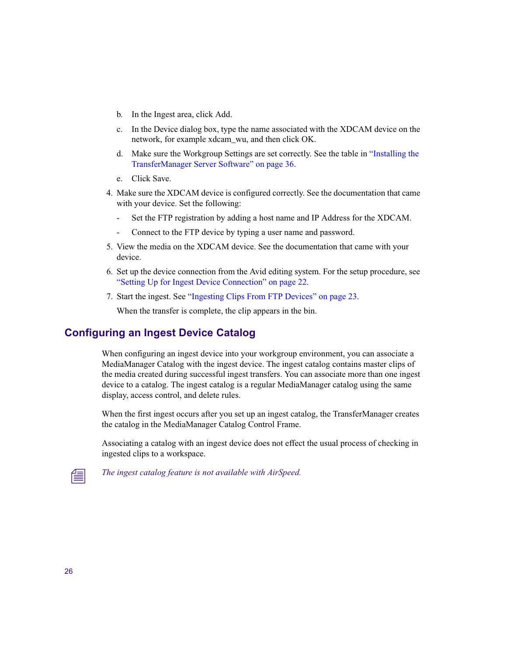- b. In the Ingest area, click Add.
- c. In the Device dialog box, type the name associated with the XDCAM device on the network, for example xdcam\_wu, and then click OK.
- d. Make sure the Workgroup Settings are set correctly. See the table in ["Installing the](#page-35-0)  [TransferManager Server Software" on page 36](#page-35-0).
- e. Click Save.
- 4. Make sure the XDCAM device is configured correctly. See the documentation that came with your device. Set the following:
	- Set the FTP registration by adding a host name and IP Address for the XDCAM.
	- Connect to the FTP device by typing a user name and password.
- 5. View the media on the XDCAM device. See the documentation that came with your device.
- 6. Set up the device connection from the Avid editing system. For the setup procedure, see ["Setting Up for Ingest Device Connection" on page 22](#page-21-0).
- 7. Start the ingest. See ["Ingesting Clips From FTP Devices" on page 23](#page-22-0).

When the transfer is complete, the clip appears in the bin.

# <span id="page-25-0"></span>**Configuring an Ingest Device Catalog**

When configuring an ingest device into your workgroup environment, you can associate a MediaManager Catalog with the ingest device. The ingest catalog contains master clips of the media created during successful ingest transfers. You can associate more than one ingest device to a catalog. The ingest catalog is a regular MediaManager catalog using the same display, access control, and delete rules.

When the first ingest occurs after you set up an ingest catalog, the TransferManager creates the catalog in the MediaManager Catalog Control Frame.

Associating a catalog with an ingest device does not effect the usual process of checking in ingested clips to a workspace.

The ingest catalog feature is not available with AirSpeed.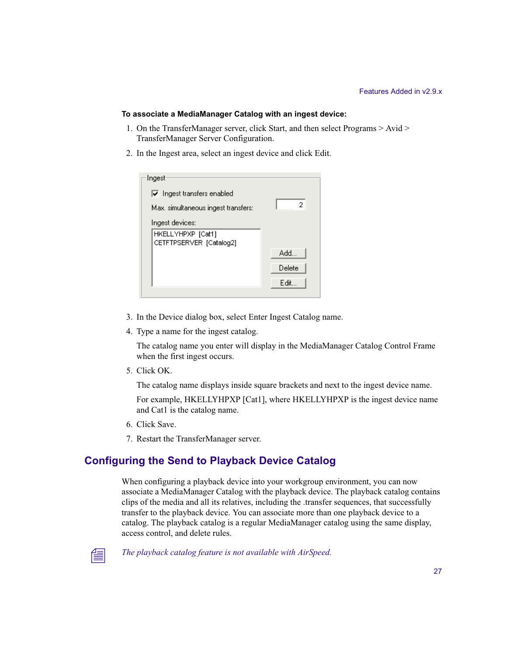#### **To associate a MediaManager Catalog with an ingest device:**

- 1. On the TransferManager server, click Start, and then select Programs > Avid > TransferManager Server Configuration.
- 2. In the Ingest area, select an ingest device and click Edit.

| Ingest                                   |        |
|------------------------------------------|--------|
|                                          |        |
| $\triangledown$ Ingest transfers enabled |        |
| Max. simultaneous ingest transfers:      | 2      |
| Ingest devices:                          |        |
| HKELLYHPXP [Cat1]                        |        |
| CETFTPSERVER [Catalog2]                  |        |
|                                          | Add    |
|                                          | Delete |
|                                          | Edit   |
|                                          |        |

- 3. In the Device dialog box, select Enter Ingest Catalog name.
- 4. Type a name for the ingest catalog.

The catalog name you enter will display in the MediaManager Catalog Control Frame when the first ingest occurs.

5. Click OK.

The catalog name displays inside square brackets and next to the ingest device name.

For example, HKELLYHPXP [Cat1], where HKELLYHPXP is the ingest device name and Cat1 is the catalog name.

- 6. Click Save.
- 7. Restart the TransferManager server.

# <span id="page-26-0"></span>**Configuring the Send to Playback Device Catalog**

When configuring a playback device into your workgroup environment, you can now associate a MediaManager Catalog with the playback device. The playback catalog contains clips of the media and all its relatives, including the .transfer sequences, that successfully transfer to the playback device. You can associate more than one playback device to a catalog. The playback catalog is a regular MediaManager catalog using the same display, access control, and delete rules.



The playback catalog feature is not available with AirSpeed.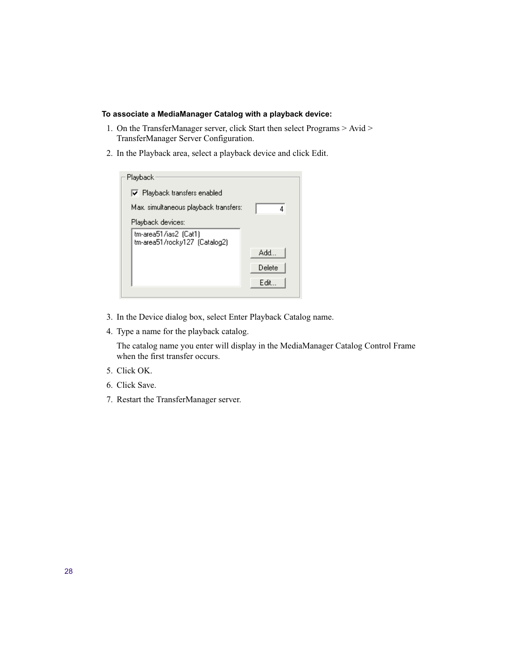### **To associate a MediaManager Catalog with a playback device:**

- 1. On the TransferManager server, click Start then select Programs > Avid > TransferManager Server Configuration.
- 2. In the Playback area, select a playback device and click Edit.

| Playback                                               |        |
|--------------------------------------------------------|--------|
| $\nabla$ Playback transfers enabled                    |        |
| Max, simultaneous playback transfers:                  |        |
| Playback devices:                                      |        |
| tm-area51/ias2 (Cat1)<br>tm-area51/rocky127 (Catalog2) |        |
|                                                        | Add    |
|                                                        | Delete |
|                                                        | Edit   |
|                                                        |        |

- 3. In the Device dialog box, select Enter Playback Catalog name.
- 4. Type a name for the playback catalog.

The catalog name you enter will display in the MediaManager Catalog Control Frame when the first transfer occurs.

- 5. Click OK.
- 6. Click Save.
- 7. Restart the TransferManager server.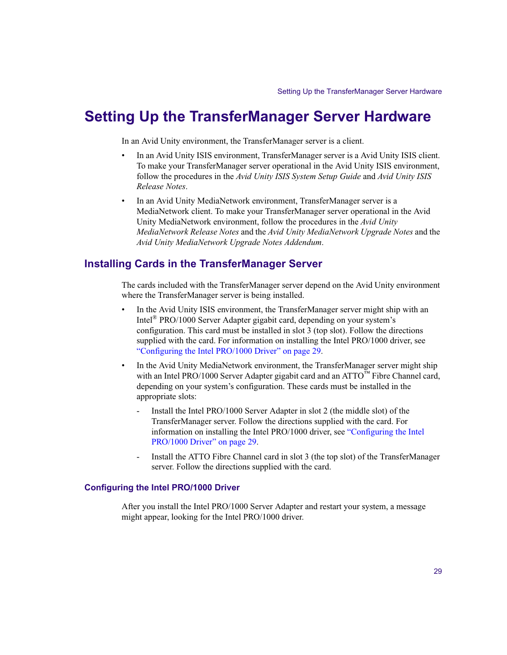# <span id="page-28-0"></span>**Setting Up the TransferManager Server Hardware**

In an Avid Unity environment, the TransferManager server is a client.

- In an Avid Unity ISIS environment, TransferManager server is a Avid Unity ISIS client. To make your TransferManager server operational in the Avid Unity ISIS environment, follow the procedures in the *Avid Unity ISIS System Setup Guide* and *Avid Unity ISIS Release Notes*.
- In an Avid Unity MediaNetwork environment, TransferManager server is a MediaNetwork client. To make your TransferManager server operational in the Avid Unity MediaNetwork environment, follow the procedures in the *Avid Unity MediaNetwork Release Notes* and the *Avid Unity MediaNetwork Upgrade Notes* and the *Avid Unity MediaNetwork Upgrade Notes Addendum*.

# <span id="page-28-1"></span>**Installing Cards in the TransferManager Server**

The cards included with the TransferManager server depend on the Avid Unity environment where the TransferManager server is being installed.

- In the Avid Unity ISIS environment, the TransferManager server might ship with an Intel® PRO/1000 Server Adapter gigabit card, depending on your system's configuration. This card must be installed in slot 3 (top slot). Follow the directions supplied with the card. For information on installing the Intel PRO/1000 driver, see ["Configuring the Intel PRO/1000 Driver" on page 29.](#page-28-2)
- In the Avid Unity MediaNetwork environment, the TransferManager server might ship with an Intel PRO/1000 Server Adapter gigabit card and an ATTO™ Fibre Channel card, depending on your system's configuration. These cards must be installed in the appropriate slots:
	- Install the Intel PRO/1000 Server Adapter in slot 2 (the middle slot) of the TransferManager server. Follow the directions supplied with the card. For information on installing the Intel PRO/1000 driver, see ["Configuring the Intel](#page-28-2)  [PRO/1000 Driver" on page 29.](#page-28-2)
	- Install the ATTO Fibre Channel card in slot 3 (the top slot) of the TransferManager server. Follow the directions supplied with the card.

### <span id="page-28-2"></span>**Configuring the Intel PRO/1000 Driver**

After you install the Intel PRO/1000 Server Adapter and restart your system, a message might appear, looking for the Intel PRO/1000 driver.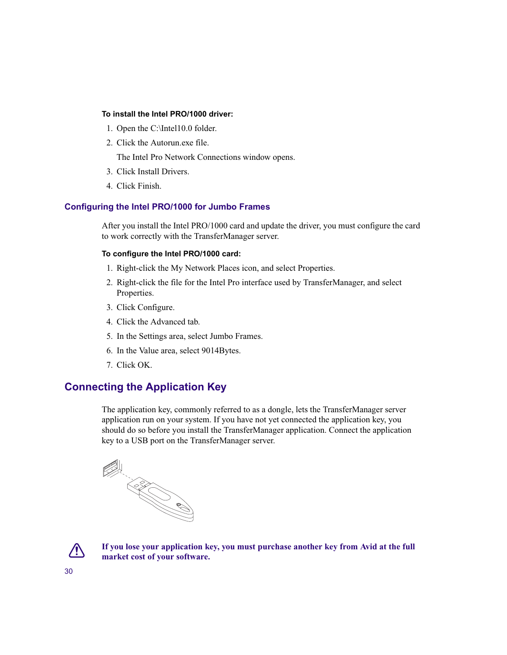### **To install the Intel PRO/1000 driver:**

- 1. Open the C:\Intel10.0 folder.
- 2. Click the Autorun.exe file.

The Intel Pro Network Connections window opens.

- 3. Click Install Drivers.
- 4. Click Finish.

### **Configuring the Intel PRO/1000 for Jumbo Frames**

After you install the Intel PRO/1000 card and update the driver, you must configure the card to work correctly with the TransferManager server.

### **To configure the Intel PRO/1000 card:**

- 1. Right-click the My Network Places icon, and select Properties.
- 2. Right-click the file for the Intel Pro interface used by TransferManager, and select Properties.
- 3. Click Configure.
- 4. Click the Advanced tab.
- 5. In the Settings area, select Jumbo Frames.
- 6. In the Value area, select 9014Bytes.
- 7. Click OK.

# <span id="page-29-0"></span>**Connecting the Application Key**

The application key, commonly referred to as a dongle, lets the TransferManager server application run on your system. If you have not yet connected the application key, you should do so before you install the TransferManager application. Connect the application key to a USB port on the TransferManager server.



c **If you lose your application key, you must purchase another key from Avid at the full market cost of your software.**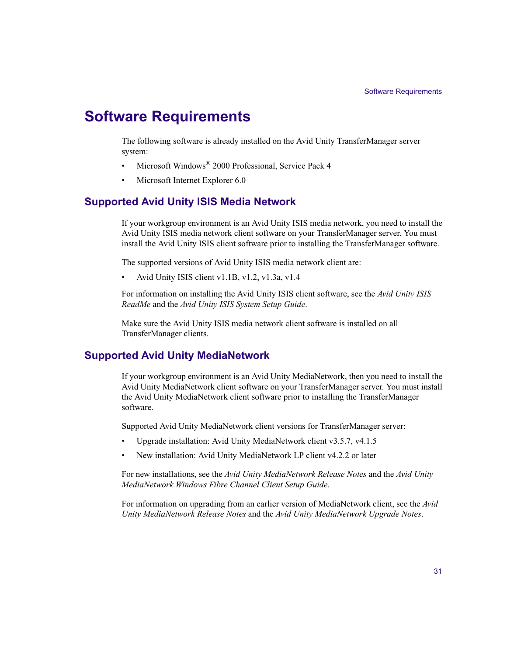# <span id="page-30-1"></span>**Software Requirements**

The following software is already installed on the Avid Unity TransferManager server system:

- Microsoft Windows<sup>®</sup> 2000 Professional, Service Pack 4
- Microsoft Internet Explorer 6.0

# <span id="page-30-0"></span>**Supported Avid Unity ISIS Media Network**

If your workgroup environment is an Avid Unity ISIS media network, you need to install the Avid Unity ISIS media network client software on your TransferManager server. You must install the Avid Unity ISIS client software prior to installing the TransferManager software.

The supported versions of Avid Unity ISIS media network client are:

• Avid Unity ISIS client v1.1B, v1.2, v1.3a, v1.4

For information on installing the Avid Unity ISIS client software, see the *Avid Unity ISIS ReadMe* and the *Avid Unity ISIS System Setup Guide*.

Make sure the Avid Unity ISIS media network client software is installed on all TransferManager clients.

# <span id="page-30-2"></span>**Supported Avid Unity MediaNetwork**

If your workgroup environment is an Avid Unity MediaNetwork, then you need to install the Avid Unity MediaNetwork client software on your TransferManager server. You must install the Avid Unity MediaNetwork client software prior to installing the TransferManager software.

Supported Avid Unity MediaNetwork client versions for TransferManager server:

- Upgrade installation: Avid Unity MediaNetwork client v3.5.7, v4.1.5
- New installation: Avid Unity MediaNetwork LP client v4.2.2 or later

For new installations, see the *Avid Unity MediaNetwork Release Notes* and the *Avid Unity MediaNetwork Windows Fibre Channel Client Setup Guide*.

For information on upgrading from an earlier version of MediaNetwork client, see the *Avid Unity MediaNetwork Release Notes* and the *Avid Unity MediaNetwork Upgrade Notes*.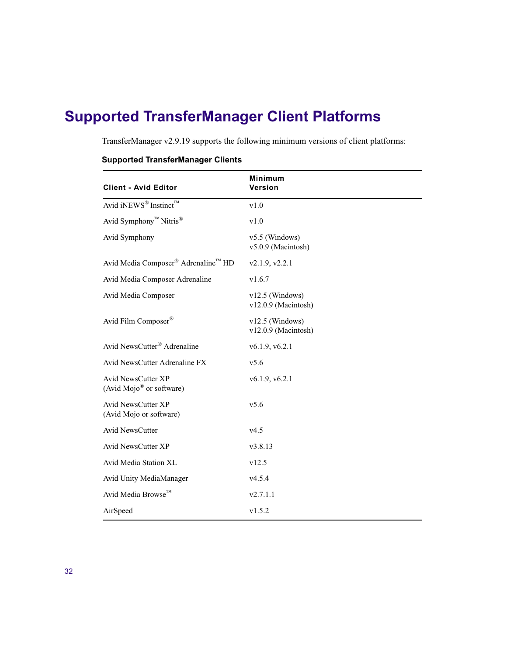# <span id="page-31-0"></span>**Supported TransferManager Client Platforms**

TransferManager v2.9.19 supports the following minimum versions of client platforms:

| <b>Client - Avid Editor</b>                                       | <b>Minimum</b><br>Version                |
|-------------------------------------------------------------------|------------------------------------------|
| Avid iNEWS <sup>®</sup> Instinct™                                 | v1.0                                     |
| Avid Symphony <sup>™</sup> Nitris <sup>®</sup>                    | v1.0                                     |
| Avid Symphony                                                     | $v5.5$ (Windows)<br>v5.0.9 (Macintosh)   |
| Avid Media Composer <sup>®</sup> Adrenaline™ HD                   | v2.1.9, v2.2.1                           |
| Avid Media Composer Adrenaline                                    | v1.6.7                                   |
| Avid Media Composer                                               | $v12.5$ (Windows)<br>v12.0.9 (Macintosh) |
| Avid Film Composer®                                               | $v12.5$ (Windows)<br>v12.0.9 (Macintosh) |
| Avid NewsCutter® Adrenaline                                       | v6.1.9, v6.2.1                           |
| Avid NewsCutter Adrenaline FX                                     | v5.6                                     |
| <b>Avid NewsCutter XP</b><br>(Avid Mojo <sup>®</sup> or software) | v6.1.9, v6.2.1                           |
| <b>Avid NewsCutter XP</b><br>(Avid Mojo or software)              | v5.6                                     |
| Avid NewsCutter                                                   | v4.5                                     |
| Avid NewsCutter XP                                                | v3.8.13                                  |
| Avid Media Station XL                                             | v12.5                                    |
| Avid Unity MediaManager                                           | v4.5.4                                   |
| Avid Media Browse™                                                | v2.7.1.1                                 |
| AirSpeed                                                          | v1.5.2                                   |

# **Supported TransferManager Clients**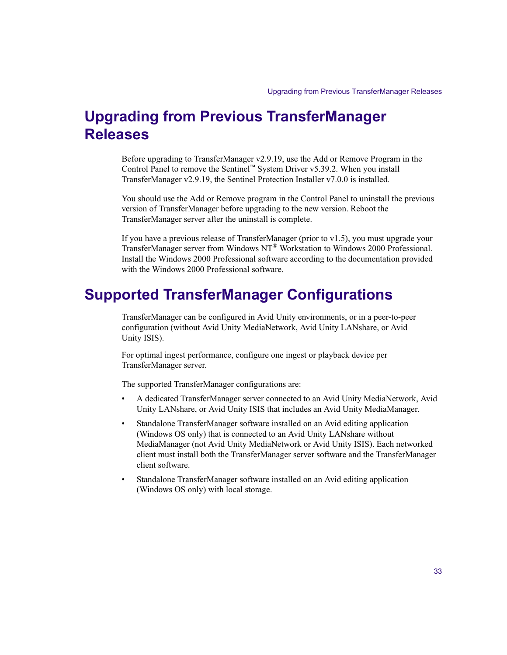# <span id="page-32-0"></span>**Upgrading from Previous TransferManager Releases**

Before upgrading to TransferManager v2.9.19, use the Add or Remove Program in the Control Panel to remove the Sentinel™ System Driver  $v5.39.2$ . When you install TransferManager v2.9.19, the Sentinel Protection Installer v7.0.0 is installed.

You should use the Add or Remove program in the Control Panel to uninstall the previous version of TransferManager before upgrading to the new version. Reboot the TransferManager server after the uninstall is complete.

If you have a previous release of TransferManager (prior to v1.5), you must upgrade your TransferManager server from Windows NT® Workstation to Windows 2000 Professional. Install the Windows 2000 Professional software according to the documentation provided with the Windows 2000 Professional software.

# <span id="page-32-1"></span>**Supported TransferManager Configurations**

TransferManager can be configured in Avid Unity environments, or in a peer-to-peer configuration (without Avid Unity MediaNetwork, Avid Unity LANshare, or Avid Unity ISIS).

For optimal ingest performance, configure one ingest or playback device per TransferManager server.

The supported TransferManager configurations are:

- A dedicated TransferManager server connected to an Avid Unity MediaNetwork, Avid Unity LANshare, or Avid Unity ISIS that includes an Avid Unity MediaManager.
- Standalone TransferManager software installed on an Avid editing application (Windows OS only) that is connected to an Avid Unity LANshare without MediaManager (not Avid Unity MediaNetwork or Avid Unity ISIS). Each networked client must install both the TransferManager server software and the TransferManager client software.
- Standalone TransferManager software installed on an Avid editing application (Windows OS only) with local storage.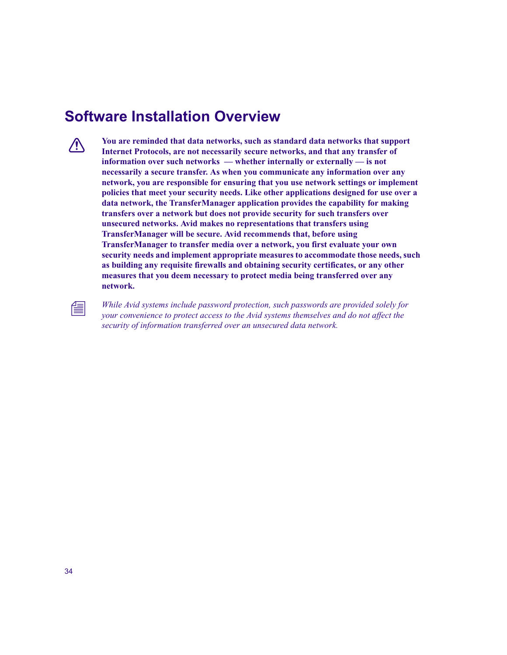# <span id="page-33-0"></span>**Software Installation Overview**

**compared You are reminded that data networks, such as standard data networks that support Internet Protocols, are not necessarily secure networks, and that any transfer of information over such networks — whether internally or externally — is not necessarily a secure transfer. As when you communicate any information over any network, you are responsible for ensuring that you use network settings or implement policies that meet your security needs. Like other applications designed for use over a data network, the TransferManager application provides the capability for making transfers over a network but does not provide security for such transfers over unsecured networks. Avid makes no representations that transfers using TransferManager will be secure. Avid recommends that, before using TransferManager to transfer media over a network, you first evaluate your own security needs and implement appropriate measures to accommodate those needs, such as building any requisite firewalls and obtaining security certificates, or any other measures that you deem necessary to protect media being transferred over any network.**

n *While Avid systems include password protection, such passwords are provided solely for your convenience to protect access to the Avid systems themselves and do not affect the security of information transferred over an unsecured data network.*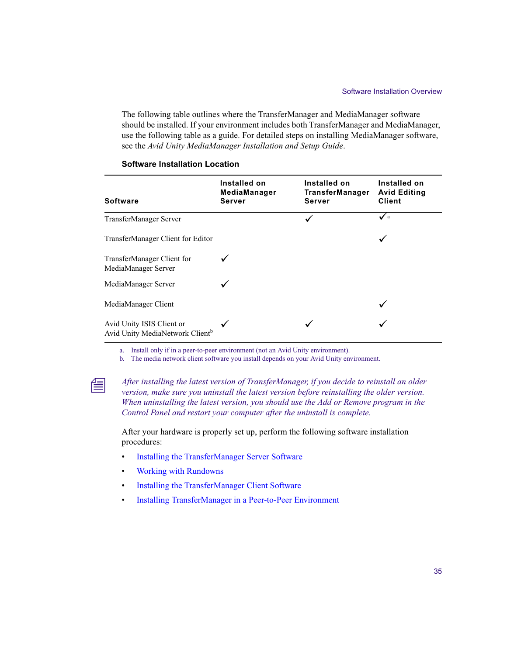The following table outlines where the TransferManager and MediaManager software should be installed. If your environment includes both TransferManager and MediaManager, use the following table as a guide. For detailed steps on installing MediaManager software, see the *Avid Unity MediaManager Installation and Setup Guide*.

| <b>Software</b>                                                          | Installed on<br>MediaManager<br>Server | Installed on<br><b>TransferManager</b><br>Server | Installed on<br><b>Avid Editing</b><br><b>Client</b> |
|--------------------------------------------------------------------------|----------------------------------------|--------------------------------------------------|------------------------------------------------------|
| TransferManager Server                                                   |                                        |                                                  | $\sqrt{a}$                                           |
| TransferManager Client for Editor                                        |                                        |                                                  | ✓                                                    |
| TransferManager Client for<br>MediaManager Server                        |                                        |                                                  |                                                      |
| MediaManager Server                                                      |                                        |                                                  |                                                      |
| MediaManager Client                                                      |                                        |                                                  |                                                      |
| Avid Unity ISIS Client or<br>Avid Unity MediaNetwork Client <sup>b</sup> |                                        |                                                  |                                                      |

#### **Software Installation Location**

a. Install only if in a peer-to-peer environment (not an Avid Unity environment).

b. The media network client software you install depends on your Avid Unity environment.



n *After installing the latest version of TransferManager, if you decide to reinstall an older version, make sure you uninstall the latest version before reinstalling the older version. When uninstalling the latest version, you should use the Add or Remove program in the Control Panel and restart your computer after the uninstall is complete.*

After your hardware is properly set up, perform the following software installation procedures:

- [Installing the TransferManager Server Software](#page-35-0)
- [Working with Rundowns](#page-42-0)
- [Installing the TransferManager Client Software](#page-43-1)
- [Installing TransferManager in a Peer-to-Peer Environment](#page-47-1)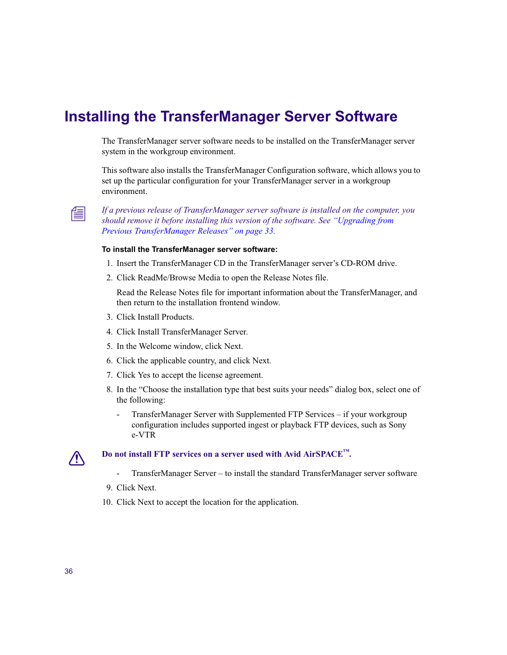# <span id="page-35-0"></span>**Installing the TransferManager Server Software**

The TransferManager server software needs to be installed on the TransferManager server system in the workgroup environment.

This software also installs the TransferManager Configuration software, which allows you to set up the particular configuration for your TransferManager server in a workgroup environment.



n *If a previous release of TransferManager server software is installed on the computer, you should remove it before installing this version of the software. See ["Upgrading from](#page-32-0)  [Previous TransferManager Releases" on page 33](#page-32-0).*

### **To install the TransferManager server software:**

- 1. Insert the TransferManager CD in the TransferManager server's CD-ROM drive.
- 2. Click ReadMe/Browse Media to open the Release Notes file.

Read the Release Notes file for important information about the TransferManager, and then return to the installation frontend window.

- 3. Click Install Products.
- 4. Click Install TransferManager Server.
- 5. In the Welcome window, click Next.
- 6. Click the applicable country, and click Next.
- 7. Click Yes to accept the license agreement.
- 8. In the "Choose the installation type that best suits your needs" dialog box, select one of the following:
	- TransferManager Server with Supplemented FTP Services if your workgroup configuration includes supported ingest or playback FTP devices, such as Sony e-VTR

# Do not install FTP services on a server used with Avid AirSPACE<sup>™</sup>.

- TransferManager Server to install the standard TransferManager server software
- 9. Click Next.
- 10. Click Next to accept the location for the application.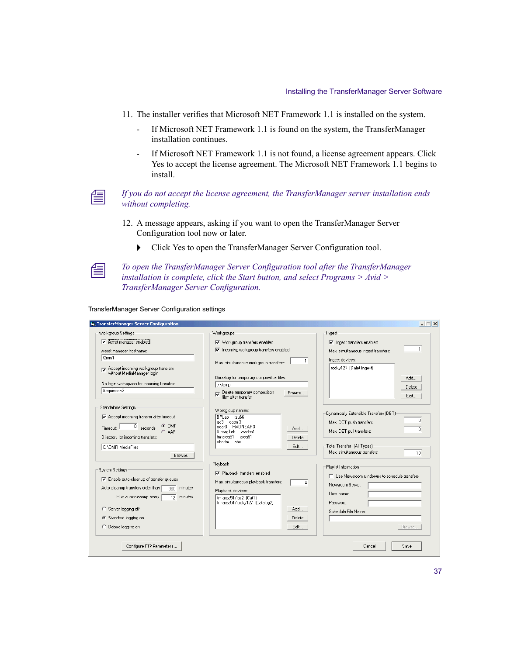- 11. The installer verifies that Microsoft NET Framework 1.1 is installed on the system.
	- If Microsoft NET Framework 1.1 is found on the system, the TransferManager installation continues.
	- If Microsoft NET Framework 1.1 is not found, a license agreement appears. Click Yes to accept the license agreement. The Microsoft NET Framework 1.1 begins to install.



### n *If you do not accept the license agreement, the TransferManager server installation ends without completing.*

- 12. A message appears, asking if you want to open the TransferManager Server Configuration tool now or later.
	- $\blacktriangleright$  Click Yes to open the TransferManager Server Configuration tool.



n *To open the TransferManager Server Configuration tool after the TransferManager installation is complete, click the Start button, and select Programs > Avid > TransferManager Server Configuration.*

TransferManager Server Configuration settings

| <b>S. TransferManager Server Configuration</b>                                                                                                                                                                                                                                   |                                                                                                                                                                                                | $ \Box$ $\times$                                                                                                                                                               |
|----------------------------------------------------------------------------------------------------------------------------------------------------------------------------------------------------------------------------------------------------------------------------------|------------------------------------------------------------------------------------------------------------------------------------------------------------------------------------------------|--------------------------------------------------------------------------------------------------------------------------------------------------------------------------------|
| Workgroup Settings                                                                                                                                                                                                                                                               | Workgroups                                                                                                                                                                                     | Ingest                                                                                                                                                                         |
| Asset manager enabled                                                                                                                                                                                                                                                            | Vorkgroup transfers enabled                                                                                                                                                                    | $\nabla$ Ingest transfers enabled                                                                                                                                              |
| Asset manager hostname:                                                                                                                                                                                                                                                          | □ Incoming workgroup transfers enabled                                                                                                                                                         | $\mathbf{1}$<br>Max, simultaneous ingest transfers:                                                                                                                            |
| f2mm1<br>Accept incoming workgroup transfers<br>without MediaManager login                                                                                                                                                                                                       | $\mathbf{1}$<br>Max. simultaneous workgroup transfers:                                                                                                                                         | Ingest devices:<br>rocky127 (Dalet Ingest)                                                                                                                                     |
| No-login workspace for incoming transfers:<br>Acquisition2                                                                                                                                                                                                                       | Directory for temporary composition files:<br>c:\temp<br>Delete temporary composition<br>Browse<br>⊽<br>files after transfer                                                                   | Add<br>Delete<br>Edit                                                                                                                                                          |
| Standalone Settings<br>$\overline{\blacktriangledown}$ Accept incoming transfer after timeout<br>$G$ OMF<br>$0$ seconds<br>Timeout:<br>$C$ AAF<br>Directory for incoming transfers:<br>C:\OMFI MediaFiles                                                                        | Workgroup names:<br>BPLab tsu66<br>gatm-3<br>ga3<br>MADNEAR3<br>near3<br>Add<br>StoragTek<br>avidtm1<br>tm-area51 area51<br>Delete<br>cbc-tm abc<br>Edit                                       | Dynamically Extensible Transfers (DET)<br>0<br>Max. DET push transfers:<br>n<br>Max. DET pull transfers:<br><b>Total Transfers (All Types)</b><br>Max. simultaneous transfers: |
| Browse<br>System Settings<br>$\overline{\mathbf{v}}$ Enable auto-cleanup of transfer queues<br>Auto-cleanup transfers older than  <br>minutes<br>360<br>Run auto-cleanup every<br>$\overline{12}$ minutes<br>C Server logging off<br>C Standard logging on<br>C Debug logging on | Playback<br>□ Playback transfers enabled<br>Max. simultaneous playback transfers:<br>4<br>Playback devices:<br>tm-area51/ias2 (Cat1)<br>tm-area51/rocky127 (Catalog2)<br>Add<br>Delete<br>Edit | 10<br>Playlist Information<br>$\Box$ Use Newsroom rundowns to schedule transfers<br>Newsroom Server:<br>User name:<br>Password:<br>Schedule File Name:<br>Browse               |
| Configure FTP Parameters                                                                                                                                                                                                                                                         |                                                                                                                                                                                                | Save<br>Cancel                                                                                                                                                                 |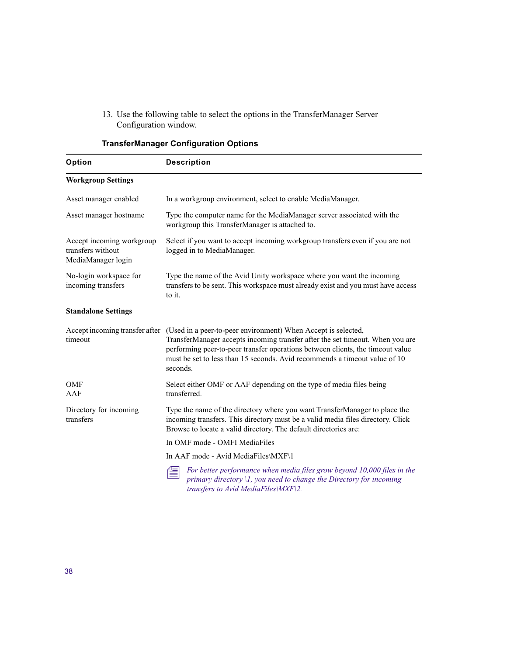13. Use the following table to select the options in the TransferManager Server Configuration window.

| Option                                                               | <b>Description</b>                                                                                                                                                                                                                                                                                                                                        |
|----------------------------------------------------------------------|-----------------------------------------------------------------------------------------------------------------------------------------------------------------------------------------------------------------------------------------------------------------------------------------------------------------------------------------------------------|
| <b>Workgroup Settings</b>                                            |                                                                                                                                                                                                                                                                                                                                                           |
| Asset manager enabled                                                | In a workgroup environment, select to enable MediaManager.                                                                                                                                                                                                                                                                                                |
| Asset manager hostname                                               | Type the computer name for the MediaManager server associated with the<br>workgroup this TransferManager is attached to.                                                                                                                                                                                                                                  |
| Accept incoming workgroup<br>transfers without<br>MediaManager login | Select if you want to accept incoming workgroup transfers even if you are not<br>logged in to MediaManager.                                                                                                                                                                                                                                               |
| No-login workspace for<br>incoming transfers                         | Type the name of the Avid Unity workspace where you want the incoming<br>transfers to be sent. This workspace must already exist and you must have access<br>to it.                                                                                                                                                                                       |
| <b>Standalone Settings</b>                                           |                                                                                                                                                                                                                                                                                                                                                           |
| timeout                                                              | Accept incoming transfer after (Used in a peer-to-peer environment) When Accept is selected,<br>TransferManager accepts incoming transfer after the set timeout. When you are<br>performing peer-to-peer transfer operations between clients, the timeout value<br>must be set to less than 15 seconds. Avid recommends a timeout value of 10<br>seconds. |
| <b>OMF</b><br>AAF                                                    | Select either OMF or AAF depending on the type of media files being<br>transferred.                                                                                                                                                                                                                                                                       |
| Directory for incoming<br>transfers                                  | Type the name of the directory where you want TransferManager to place the<br>incoming transfers. This directory must be a valid media files directory. Click<br>Browse to locate a valid directory. The default directories are:                                                                                                                         |
|                                                                      | In OMF mode - OMFI MediaFiles                                                                                                                                                                                                                                                                                                                             |
|                                                                      | In AAF mode - Avid MediaFiles\MXF\1                                                                                                                                                                                                                                                                                                                       |
|                                                                      | For better performance when media files grow beyond 10,000 files in the<br>primary directory $\mathcal{U}$ , you need to change the Directory for incoming<br>transfers to Avid MediaFiles\MXF\2.                                                                                                                                                         |

# **TransferManager Configuration Options**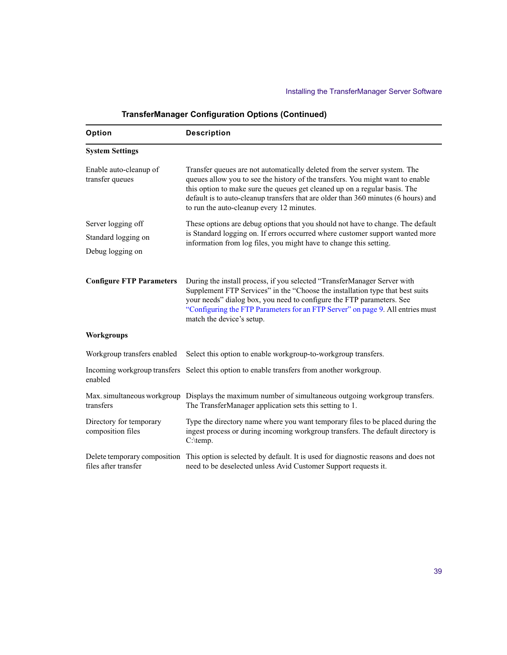| Option                                                        | <b>Description</b>                                                                                                                                                                                                                                                                                                                                                           |
|---------------------------------------------------------------|------------------------------------------------------------------------------------------------------------------------------------------------------------------------------------------------------------------------------------------------------------------------------------------------------------------------------------------------------------------------------|
| <b>System Settings</b>                                        |                                                                                                                                                                                                                                                                                                                                                                              |
| Enable auto-cleanup of<br>transfer queues                     | Transfer queues are not automatically deleted from the server system. The<br>queues allow you to see the history of the transfers. You might want to enable<br>this option to make sure the queues get cleaned up on a regular basis. The<br>default is to auto-cleanup transfers that are older than 360 minutes (6 hours) and<br>to run the auto-cleanup every 12 minutes. |
| Server logging off<br>Standard logging on<br>Debug logging on | These options are debug options that you should not have to change. The default<br>is Standard logging on. If errors occurred where customer support wanted more<br>information from log files, you might have to change this setting.                                                                                                                                       |
| <b>Configure FTP Parameters</b>                               | During the install process, if you selected "TransferManager Server with<br>Supplement FTP Services" in the "Choose the installation type that best suits<br>your needs" dialog box, you need to configure the FTP parameters. See<br>"Configuring the FTP Parameters for an FTP Server" on page 9. All entries must<br>match the device's setup.                            |
| <b>Workgroups</b>                                             |                                                                                                                                                                                                                                                                                                                                                                              |
| Workgroup transfers enabled                                   | Select this option to enable workgroup-to-workgroup transfers.                                                                                                                                                                                                                                                                                                               |
| enabled                                                       | Incoming workgroup transfers Select this option to enable transfers from another workgroup.                                                                                                                                                                                                                                                                                  |
| transfers                                                     | Max. simultaneous workgroup Displays the maximum number of simultaneous outgoing workgroup transfers.<br>The TransferManager application sets this setting to 1.                                                                                                                                                                                                             |
| Directory for temporary<br>composition files                  | Type the directory name where you want temporary files to be placed during the<br>ingest process or during incoming workgroup transfers. The default directory is<br>C:\temp.                                                                                                                                                                                                |
| files after transfer                                          | Delete temporary composition This option is selected by default. It is used for diagnostic reasons and does not<br>need to be deselected unless Avid Customer Support requests it.                                                                                                                                                                                           |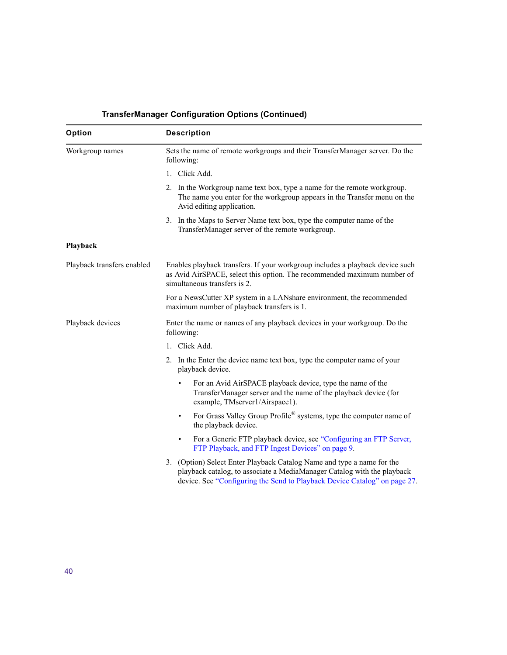| Option                     | <b>Description</b>                                                                                                                                                                                                             |
|----------------------------|--------------------------------------------------------------------------------------------------------------------------------------------------------------------------------------------------------------------------------|
| Workgroup names            | Sets the name of remote workgroups and their TransferManager server. Do the<br>following:                                                                                                                                      |
|                            | 1. Click Add.                                                                                                                                                                                                                  |
|                            | 2. In the Workgroup name text box, type a name for the remote workgroup.<br>The name you enter for the workgroup appears in the Transfer menu on the<br>Avid editing application.                                              |
|                            | 3. In the Maps to Server Name text box, type the computer name of the<br>TransferManager server of the remote workgroup.                                                                                                       |
| Playback                   |                                                                                                                                                                                                                                |
| Playback transfers enabled | Enables playback transfers. If your workgroup includes a playback device such<br>as Avid AirSPACE, select this option. The recommended maximum number of<br>simultaneous transfers is 2.                                       |
|                            | For a NewsCutter XP system in a LANshare environment, the recommended<br>maximum number of playback transfers is 1.                                                                                                            |
| Playback devices           | Enter the name or names of any playback devices in your workgroup. Do the<br>following:                                                                                                                                        |
|                            | 1. Click Add.                                                                                                                                                                                                                  |
|                            | 2. In the Enter the device name text box, type the computer name of your<br>playback device.                                                                                                                                   |
|                            | For an Avid AirSPACE playback device, type the name of the<br>$\bullet$<br>TransferManager server and the name of the playback device (for<br>example, TMserver1/Airspace1).                                                   |
|                            | For Grass Valley Group Profile® systems, type the computer name of<br>$\bullet$<br>the playback device.                                                                                                                        |
|                            | For a Generic FTP playback device, see "Configuring an FTP Server,<br>$\bullet$<br>FTP Playback, and FTP Ingest Devices" on page 9.                                                                                            |
|                            | 3. (Option) Select Enter Playback Catalog Name and type a name for the<br>playback catalog, to associate a MediaManager Catalog with the playback<br>device. See "Configuring the Send to Playback Device Catalog" on page 27. |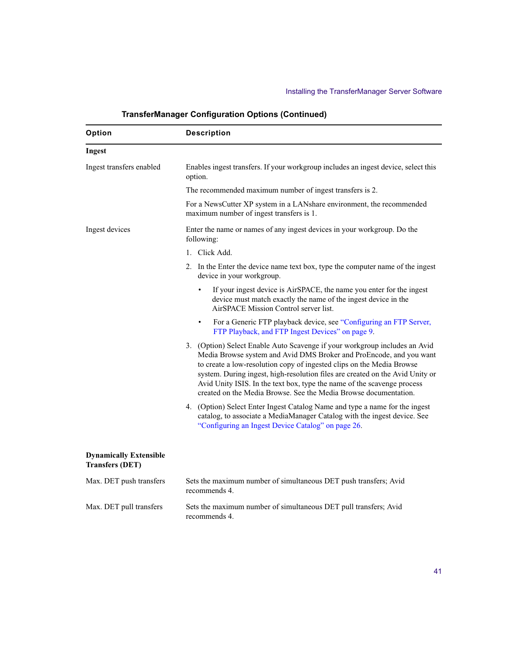| Option                                                  | <b>Description</b>                                                                                                                                                                                                                                                                                                                                                                                                                                         |
|---------------------------------------------------------|------------------------------------------------------------------------------------------------------------------------------------------------------------------------------------------------------------------------------------------------------------------------------------------------------------------------------------------------------------------------------------------------------------------------------------------------------------|
| Ingest                                                  |                                                                                                                                                                                                                                                                                                                                                                                                                                                            |
| Ingest transfers enabled                                | Enables ingest transfers. If your workgroup includes an ingest device, select this<br>option.                                                                                                                                                                                                                                                                                                                                                              |
|                                                         | The recommended maximum number of ingest transfers is 2.                                                                                                                                                                                                                                                                                                                                                                                                   |
|                                                         | For a NewsCutter XP system in a LANshare environment, the recommended<br>maximum number of ingest transfers is 1.                                                                                                                                                                                                                                                                                                                                          |
| Ingest devices                                          | Enter the name or names of any ingest devices in your workgroup. Do the<br>following:                                                                                                                                                                                                                                                                                                                                                                      |
|                                                         | 1. Click Add.                                                                                                                                                                                                                                                                                                                                                                                                                                              |
|                                                         | 2. In the Enter the device name text box, type the computer name of the ingest<br>device in your workgroup.                                                                                                                                                                                                                                                                                                                                                |
|                                                         | If your ingest device is AirSPACE, the name you enter for the ingest<br>$\bullet$<br>device must match exactly the name of the ingest device in the<br>AirSPACE Mission Control server list.                                                                                                                                                                                                                                                               |
|                                                         | For a Generic FTP playback device, see "Configuring an FTP Server,<br>$\bullet$<br>FTP Playback, and FTP Ingest Devices" on page 9.                                                                                                                                                                                                                                                                                                                        |
|                                                         | 3. (Option) Select Enable Auto Scavenge if your workgroup includes an Avid<br>Media Browse system and Avid DMS Broker and ProEncode, and you want<br>to create a low-resolution copy of ingested clips on the Media Browse<br>system. During ingest, high-resolution files are created on the Avid Unity or<br>Avid Unity ISIS. In the text box, type the name of the scavenge process<br>created on the Media Browse. See the Media Browse documentation. |
|                                                         | 4. (Option) Select Enter Ingest Catalog Name and type a name for the ingest<br>catalog, to associate a MediaManager Catalog with the ingest device. See<br>"Configuring an Ingest Device Catalog" on page 26.                                                                                                                                                                                                                                              |
| <b>Dynamically Extensible</b><br><b>Transfers (DET)</b> |                                                                                                                                                                                                                                                                                                                                                                                                                                                            |
| Max. DET push transfers                                 | Sets the maximum number of simultaneous DET push transfers; Avid<br>recommends 4.                                                                                                                                                                                                                                                                                                                                                                          |
| Max. DET pull transfers                                 | Sets the maximum number of simultaneous DET pull transfers; Avid<br>recommends 4.                                                                                                                                                                                                                                                                                                                                                                          |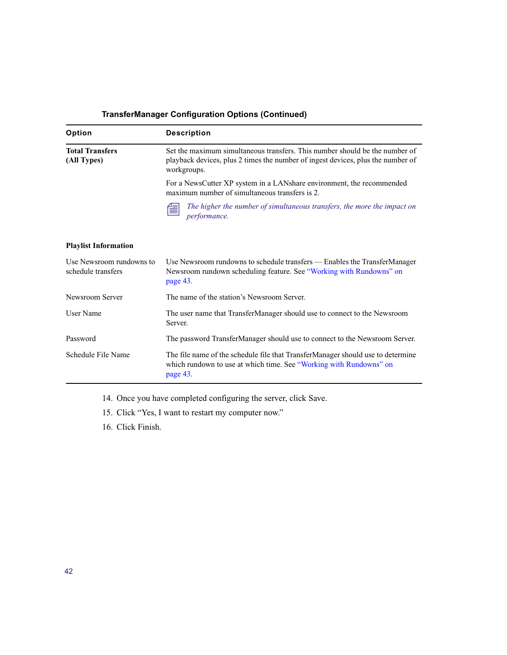| Option                                         | <b>Description</b>                                                                                                                                                            |
|------------------------------------------------|-------------------------------------------------------------------------------------------------------------------------------------------------------------------------------|
| <b>Total Transfers</b><br>(All Types)          | Set the maximum simultaneous transfers. This number should be the number of<br>playback devices, plus 2 times the number of ingest devices, plus the number of<br>workgroups. |
|                                                | For a NewsCutter XP system in a LANshare environment, the recommended<br>maximum number of simultaneous transfers is 2.                                                       |
|                                                | The higher the number of simultaneous transfers, the more the impact on<br>≝<br>performance.                                                                                  |
| <b>Playlist Information</b>                    |                                                                                                                                                                               |
| Use Newsroom rundowns to<br>schedule transfers | Use Newsroom rundowns to schedule transfers - Enables the TransferManager<br>Newsroom rundown scheduling feature. See "Working with Rundowns" on<br>page 43.                  |
| Newsroom Server                                | The name of the station's Newsroom Server.                                                                                                                                    |
| User Name                                      | The user name that TransferManager should use to connect to the Newsroom<br>Server.                                                                                           |
| Password                                       | The password TransferManager should use to connect to the Newsroom Server.                                                                                                    |
| Schedule File Name                             | The file name of the schedule file that TransferManager should use to determine<br>which rundown to use at which time. See "Working with Rundowns" on<br>page 43.             |

- 14. Once you have completed configuring the server, click Save.
- 15. Click "Yes, I want to restart my computer now."
- 16. Click Finish.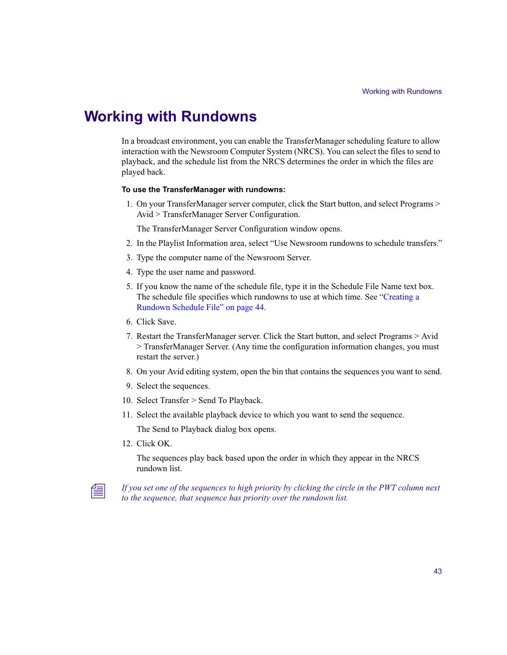# <span id="page-42-0"></span>**Working with Rundowns**

In a broadcast environment, you can enable the TransferManager scheduling feature to allow interaction with the Newsroom Computer System (NRCS). You can select the files to send to playback, and the schedule list from the NRCS determines the order in which the files are played back.

### **To use the TransferManager with rundowns:**

1. On your TransferManager server computer, click the Start button, and select Programs > Avid > TransferManager Server Configuration.

The TransferManager Server Configuration window opens.

- 2. In the Playlist Information area, select "Use Newsroom rundowns to schedule transfers."
- 3. Type the computer name of the Newsroom Server.
- 4. Type the user name and password.
- 5. If you know the name of the schedule file, type it in the Schedule File Name text box. The schedule file specifies which rundowns to use at which time. See ["Creating a](#page-43-0)  [Rundown Schedule File" on page 44](#page-43-0).
- 6. Click Save.
- 7. Restart the TransferManager server. Click the Start button, and select Programs > Avid > TransferManager Server. (Any time the configuration information changes, you must restart the server.)
- 8. On your Avid editing system, open the bin that contains the sequences you want to send.
- 9. Select the sequences.
- 10. Select Transfer > Send To Playback.
- 11. Select the available playback device to which you want to send the sequence.

The Send to Playback dialog box opens.

12. Click OK.

The sequences play back based upon the order in which they appear in the NRCS rundown list.



n *If you set one of the sequences to high priority by clicking the circle in the PWT column next to the sequence, that sequence has priority over the rundown list.*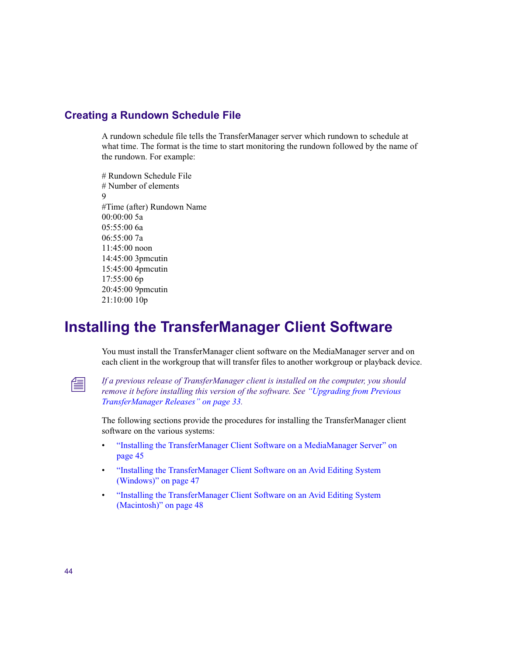# <span id="page-43-0"></span>**Creating a Rundown Schedule File**

A rundown schedule file tells the TransferManager server which rundown to schedule at what time. The format is the time to start monitoring the rundown followed by the name of the rundown. For example:

# Rundown Schedule File # Number of elements  $\mathbf{Q}$ #Time (after) Rundown Name 00:00:00 5a 05:55:00 6a 06:55:00 7a 11:45:00 noon 14:45:00 3pmcutin 15:45:00 4pmcutin 17:55:00 6p 20:45:00 9pmcutin 21:10:00 10p

# <span id="page-43-1"></span>**Installing the TransferManager Client Software**

You must install the TransferManager client software on the MediaManager server and on each client in the workgroup that will transfer files to another workgroup or playback device.

n *If a previous release of TransferManager client is installed on the computer, you should remove it before installing this version of the software. See ["Upgrading from Previous](#page-32-0)  [TransferManager Releases" on page 33.](#page-32-0)*

The following sections provide the procedures for installing the TransferManager client software on the various systems:

- ["Installing the TransferManager Client Software on a MediaManager Server" on](#page-44-0)  [page 45](#page-44-0)
- ["Installing the TransferManager Client Software on an Avid Editing System](#page-46-0)  [\(Windows\)" on page 47](#page-46-0)
- ["Installing the TransferManager Client Software on an Avid Editing System](#page-47-0)  [\(Macintosh\)" on page 48](#page-47-0)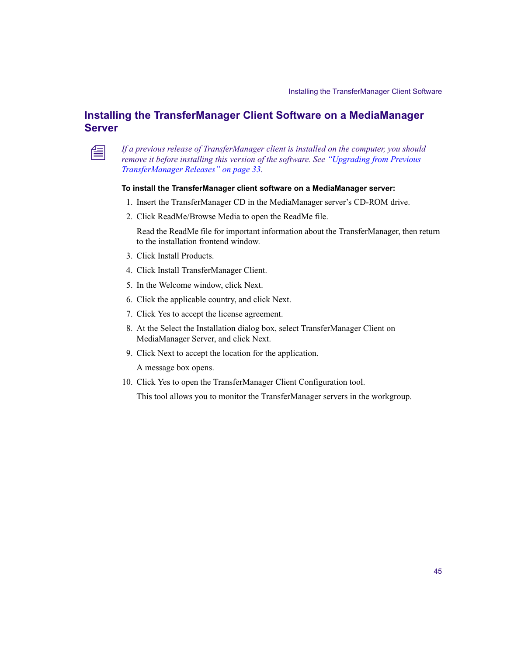# <span id="page-44-0"></span>**Installing the TransferManager Client Software on a MediaManager Server**



n *If a previous release of TransferManager client is installed on the computer, you should remove it before installing this version of the software. See ["Upgrading from Previous](#page-32-0)  [TransferManager Releases" on page 33](#page-32-0).*

#### **To install the TransferManager client software on a MediaManager server:**

- 1. Insert the TransferManager CD in the MediaManager server's CD-ROM drive.
- 2. Click ReadMe/Browse Media to open the ReadMe file.

Read the ReadMe file for important information about the TransferManager, then return to the installation frontend window.

- 3. Click Install Products.
- 4. Click Install TransferManager Client.
- 5. In the Welcome window, click Next.
- 6. Click the applicable country, and click Next.
- 7. Click Yes to accept the license agreement.
- 8. At the Select the Installation dialog box, select TransferManager Client on MediaManager Server, and click Next.
- 9. Click Next to accept the location for the application.

A message box opens.

10. Click Yes to open the TransferManager Client Configuration tool.

This tool allows you to monitor the TransferManager servers in the workgroup.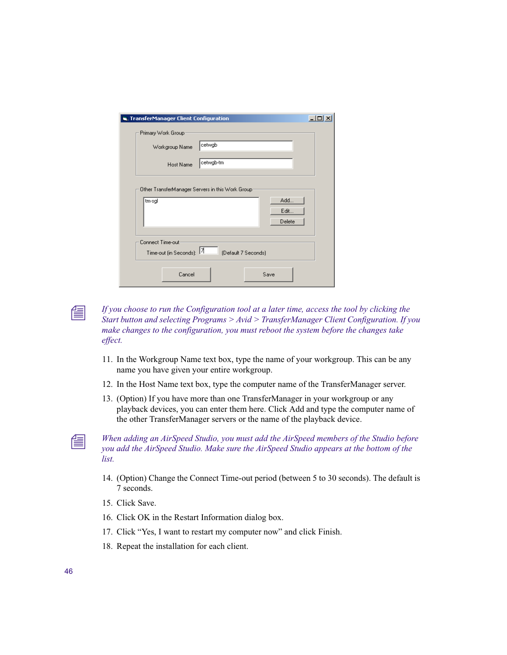| <b>St. TransferManager Client Configuration</b> |                                                   |                       |
|-------------------------------------------------|---------------------------------------------------|-----------------------|
| Primary Work Group:<br>Workgroup Name           | cetwgb                                            |                       |
| Host Name                                       | cetwgb-tm                                         |                       |
| tm-sgl                                          | Other TransferManager Servers in this Work Group: | Add<br>Edit<br>Delete |
| Connect Time-out-<br>Time-out (in Seconds): 7   | (Default 7 Seconds)                               |                       |
| Cancel                                          |                                                   | Save                  |

n *If you choose to run the Configuration tool at a later time, access the tool by clicking the Start button and selecting Programs > Avid > TransferManager Client Configuration. If you make changes to the configuration, you must reboot the system before the changes take effect.*

- 11. In the Workgroup Name text box, type the name of your workgroup. This can be any name you have given your entire workgroup.
- 12. In the Host Name text box, type the computer name of the TransferManager server.
- 13. (Option) If you have more than one TransferManager in your workgroup or any playback devices, you can enter them here. Click Add and type the computer name of the other TransferManager servers or the name of the playback device.

n *When adding an AirSpeed Studio, you must add the AirSpeed members of the Studio before you add the AirSpeed Studio. Make sure the AirSpeed Studio appears at the bottom of the list.*

- 14. (Option) Change the Connect Time-out period (between 5 to 30 seconds). The default is 7 seconds.
- 15. Click Save.
- 16. Click OK in the Restart Information dialog box.
- 17. Click "Yes, I want to restart my computer now" and click Finish.
- 18. Repeat the installation for each client.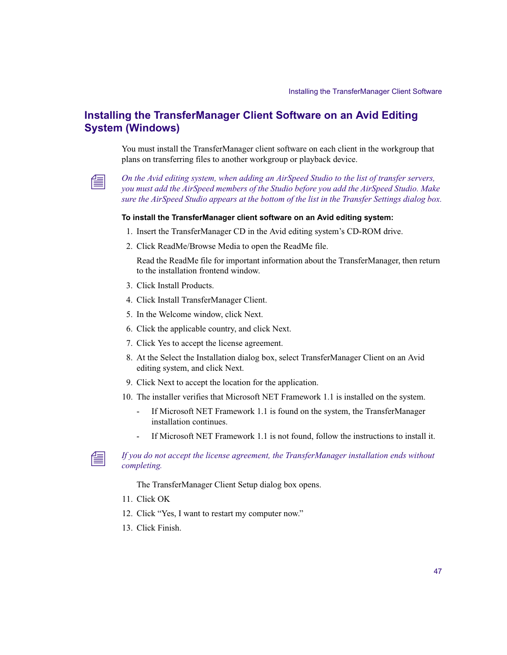# <span id="page-46-0"></span>**Installing the TransferManager Client Software on an Avid Editing System (Windows)**

You must install the TransferManager client software on each client in the workgroup that plans on transferring files to another workgroup or playback device.



n *On the Avid editing system, when adding an AirSpeed Studio to the list of transfer servers, you must add the AirSpeed members of the Studio before you add the AirSpeed Studio. Make sure the AirSpeed Studio appears at the bottom of the list in the Transfer Settings dialog box.*

#### **To install the TransferManager client software on an Avid editing system:**

- 1. Insert the TransferManager CD in the Avid editing system's CD-ROM drive.
- 2. Click ReadMe/Browse Media to open the ReadMe file.

Read the ReadMe file for important information about the TransferManager, then return to the installation frontend window.

- 3. Click Install Products.
- 4. Click Install TransferManager Client.
- 5. In the Welcome window, click Next.
- 6. Click the applicable country, and click Next.
- 7. Click Yes to accept the license agreement.
- 8. At the Select the Installation dialog box, select TransferManager Client on an Avid editing system, and click Next.
- 9. Click Next to accept the location for the application.
- 10. The installer verifies that Microsoft NET Framework 1.1 is installed on the system.
	- If Microsoft NET Framework 1.1 is found on the system, the TransferManager installation continues.
	- If Microsoft NET Framework 1.1 is not found, follow the instructions to install it.



### n *If you do not accept the license agreement, the TransferManager installation ends without completing.*

The TransferManager Client Setup dialog box opens.

- 11. Click OK
- 12. Click "Yes, I want to restart my computer now."
- 13. Click Finish.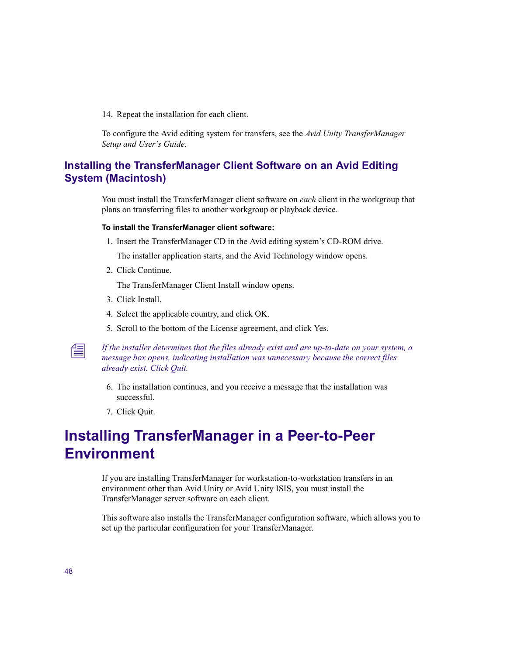14. Repeat the installation for each client.

To configure the Avid editing system for transfers, see the *Avid Unity TransferManager Setup and User's Guide*.

# <span id="page-47-0"></span>**Installing the TransferManager Client Software on an Avid Editing System (Macintosh)**

You must install the TransferManager client software on *each* client in the workgroup that plans on transferring files to another workgroup or playback device.

#### **To install the TransferManager client software:**

1. Insert the TransferManager CD in the Avid editing system's CD-ROM drive.

The installer application starts, and the Avid Technology window opens.

2. Click Continue.

The TransferManager Client Install window opens.

- 3. Click Install.
- 4. Select the applicable country, and click OK.
- 5. Scroll to the bottom of the License agreement, and click Yes.

n *If the installer determines that the files already exist and are up-to-date on your system, a message box opens, indicating installation was unnecessary because the correct files already exist. Click Quit.*

- 6. The installation continues, and you receive a message that the installation was successful.
- 7. Click Quit.

# <span id="page-47-1"></span>**Installing TransferManager in a Peer-to-Peer Environment**

If you are installing TransferManager for workstation-to-workstation transfers in an environment other than Avid Unity or Avid Unity ISIS, you must install the TransferManager server software on each client.

This software also installs the TransferManager configuration software, which allows you to set up the particular configuration for your TransferManager.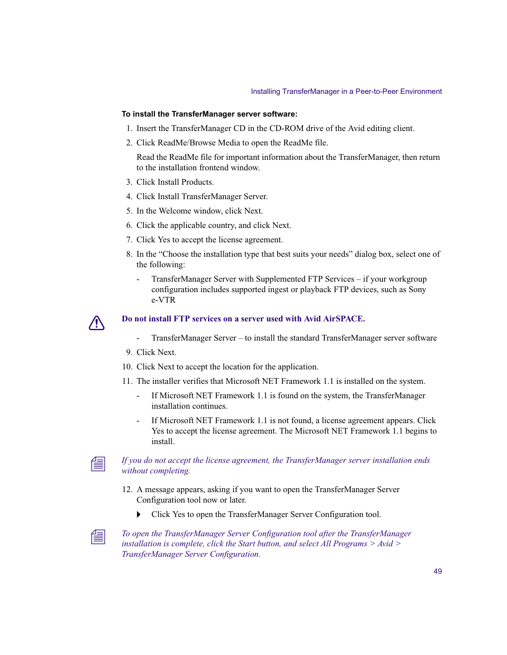#### **To install the TransferManager server software:**

- 1. Insert the TransferManager CD in the CD-ROM drive of the Avid editing client.
- 2. Click ReadMe/Browse Media to open the ReadMe file.

Read the ReadMe file for important information about the TransferManager, then return to the installation frontend window.

- 3. Click Install Products.
- 4. Click Install TransferManager Server.
- 5. In the Welcome window, click Next.
- 6. Click the applicable country, and click Next.
- 7. Click Yes to accept the license agreement.
- 8. In the "Choose the installation type that best suits your needs" dialog box, select one of the following:
	- TransferManager Server with Supplemented FTP Services if your workgroup configuration includes supported ingest or playback FTP devices, such as Sony e-VTR



### c **Do not install FTP services on a server used with Avid AirSPACE.**

- TransferManager Server to install the standard TransferManager server software
- 9. Click Next.
- 10. Click Next to accept the location for the application.
- 11. The installer verifies that Microsoft NET Framework 1.1 is installed on the system.
	- If Microsoft NET Framework 1.1 is found on the system, the TransferManager installation continues.
	- If Microsoft NET Framework 1.1 is not found, a license agreement appears. Click Yes to accept the license agreement. The Microsoft NET Framework 1.1 begins to install.



### n *If you do not accept the license agreement, the TransferManager server installation ends without completing.*

- 12. A message appears, asking if you want to open the TransferManager Server Configuration tool now or later.
	- **t** Click Yes to open the TransferManager Server Configuration tool.



n *To open the TransferManager Server Configuration tool after the TransferManager installation is complete, click the Start button, and select All Programs > Avid > TransferManager Server Configuration.*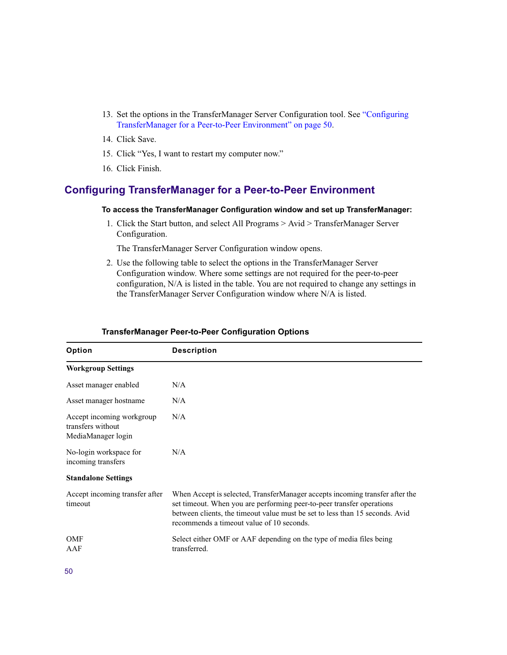- 13. Set the options in the TransferManager Server Configuration tool. See ["Configuring](#page-49-0)  [TransferManager for a Peer-to-Peer Environment" on page 50.](#page-49-0)
- 14. Click Save.
- 15. Click "Yes, I want to restart my computer now."
- 16. Click Finish.

# <span id="page-49-0"></span>**Configuring TransferManager for a Peer-to-Peer Environment**

#### **To access the TransferManager Configuration window and set up TransferManager:**

1. Click the Start button, and select All Programs > Avid > TransferManager Server Configuration.

The TransferManager Server Configuration window opens.

2. Use the following table to select the options in the TransferManager Server Configuration window. Where some settings are not required for the peer-to-peer configuration, N/A is listed in the table. You are not required to change any settings in the TransferManager Server Configuration window where N/A is listed.

| Option                                                               | <b>Description</b>                                                                                                                                                                                                                                                                 |
|----------------------------------------------------------------------|------------------------------------------------------------------------------------------------------------------------------------------------------------------------------------------------------------------------------------------------------------------------------------|
| <b>Workgroup Settings</b>                                            |                                                                                                                                                                                                                                                                                    |
| Asset manager enabled                                                | N/A                                                                                                                                                                                                                                                                                |
| Asset manager hostname                                               | N/A                                                                                                                                                                                                                                                                                |
| Accept incoming workgroup<br>transfers without<br>MediaManager login | N/A                                                                                                                                                                                                                                                                                |
| No-login workspace for<br>incoming transfers                         | N/A                                                                                                                                                                                                                                                                                |
| <b>Standalone Settings</b>                                           |                                                                                                                                                                                                                                                                                    |
| Accept incoming transfer after<br>timeout                            | When Accept is selected, TransferManager accepts incoming transfer after the<br>set timeout. When you are performing peer-to-peer transfer operations<br>between clients, the timeout value must be set to less than 15 seconds. Avid<br>recommends a timeout value of 10 seconds. |
| <b>OMF</b><br>AAF                                                    | Select either OMF or AAF depending on the type of media files being<br>transferred.                                                                                                                                                                                                |

### **TransferManager Peer-to-Peer Configuration Options**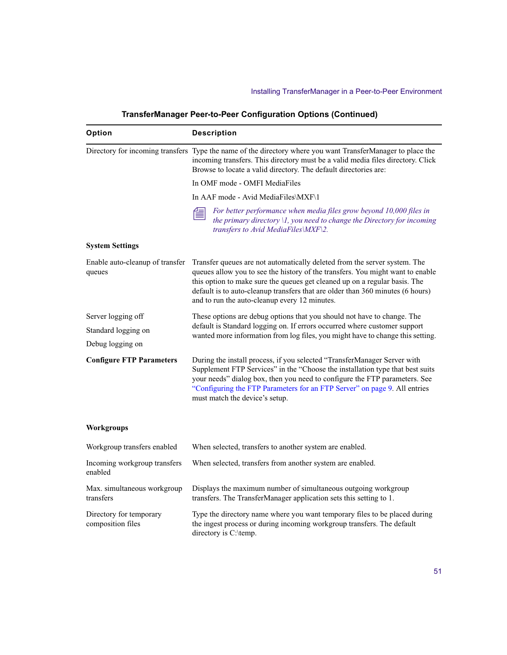| Option                                       | <b>Description</b>                                                                                                                                                                                                                                                                                                                                                           |  |
|----------------------------------------------|------------------------------------------------------------------------------------------------------------------------------------------------------------------------------------------------------------------------------------------------------------------------------------------------------------------------------------------------------------------------------|--|
|                                              | Directory for incoming transfers Type the name of the directory where you want TransferManager to place the<br>incoming transfers. This directory must be a valid media files directory. Click<br>Browse to locate a valid directory. The default directories are:                                                                                                           |  |
|                                              | In OMF mode - OMFI MediaFiles                                                                                                                                                                                                                                                                                                                                                |  |
|                                              | In AAF mode - Avid MediaFiles\MXF\1                                                                                                                                                                                                                                                                                                                                          |  |
|                                              | For better performance when media files grow beyond 10,000 files in<br>the primary directory $\{1, y\}$ need to change the Directory for incoming<br>transfers to Avid MediaFiles\MXF\2.                                                                                                                                                                                     |  |
| <b>System Settings</b>                       |                                                                                                                                                                                                                                                                                                                                                                              |  |
| Enable auto-cleanup of transfer<br>queues    | Transfer queues are not automatically deleted from the server system. The<br>queues allow you to see the history of the transfers. You might want to enable<br>this option to make sure the queues get cleaned up on a regular basis. The<br>default is to auto-cleanup transfers that are older than 360 minutes (6 hours)<br>and to run the auto-cleanup every 12 minutes. |  |
| Server logging off                           | These options are debug options that you should not have to change. The                                                                                                                                                                                                                                                                                                      |  |
| Standard logging on                          | default is Standard logging on. If errors occurred where customer support<br>wanted more information from log files, you might have to change this setting.                                                                                                                                                                                                                  |  |
| Debug logging on                             |                                                                                                                                                                                                                                                                                                                                                                              |  |
| <b>Configure FTP Parameters</b>              | During the install process, if you selected "TransferManager Server with<br>Supplement FTP Services" in the "Choose the installation type that best suits<br>your needs" dialog box, then you need to configure the FTP parameters. See<br>"Configuring the FTP Parameters for an FTP Server" on page 9. All entries<br>must match the device's setup.                       |  |
| <b>Workgroups</b>                            |                                                                                                                                                                                                                                                                                                                                                                              |  |
| Workgroup transfers enabled                  | When selected, transfers to another system are enabled.                                                                                                                                                                                                                                                                                                                      |  |
| Incoming workgroup transfers<br>enabled      | When selected, transfers from another system are enabled.                                                                                                                                                                                                                                                                                                                    |  |
| Max. simultaneous workgroup<br>transfers     | Displays the maximum number of simultaneous outgoing workgroup<br>transfers. The TransferManager application sets this setting to 1.                                                                                                                                                                                                                                         |  |
| Directory for temporary<br>composition files | Type the directory name where you want temporary files to be placed during<br>the ingest process or during incoming workgroup transfers. The default<br>directory is C:\temp.                                                                                                                                                                                                |  |

# **TransferManager Peer-to-Peer Configuration Options (Continued)**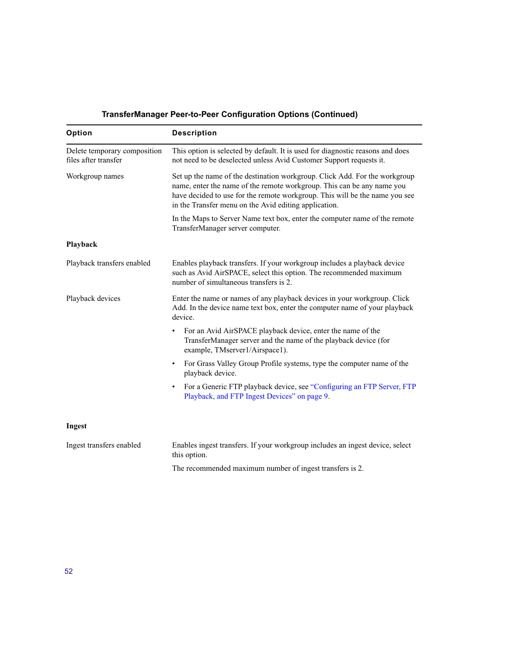| Option                                               | <b>Description</b>                                                                                                                                                                                                                                                                           |  |
|------------------------------------------------------|----------------------------------------------------------------------------------------------------------------------------------------------------------------------------------------------------------------------------------------------------------------------------------------------|--|
| Delete temporary composition<br>files after transfer | This option is selected by default. It is used for diagnostic reasons and does<br>not need to be deselected unless Avid Customer Support requests it.                                                                                                                                        |  |
| Workgroup names                                      | Set up the name of the destination workgroup. Click Add. For the workgroup<br>name, enter the name of the remote workgroup. This can be any name you<br>have decided to use for the remote workgroup. This will be the name you see<br>in the Transfer menu on the Avid editing application. |  |
|                                                      | In the Maps to Server Name text box, enter the computer name of the remote<br>TransferManager server computer.                                                                                                                                                                               |  |
| Playback                                             |                                                                                                                                                                                                                                                                                              |  |
| Playback transfers enabled                           | Enables playback transfers. If your workgroup includes a playback device<br>such as Avid AirSPACE, select this option. The recommended maximum<br>number of simultaneous transfers is 2.                                                                                                     |  |
| Playback devices                                     | Enter the name or names of any playback devices in your workgroup. Click<br>Add. In the device name text box, enter the computer name of your playback<br>device.                                                                                                                            |  |
|                                                      | For an Avid AirSPACE playback device, enter the name of the<br>TransferManager server and the name of the playback device (for<br>example, TMserver1/Airspace1).                                                                                                                             |  |
|                                                      | For Grass Valley Group Profile systems, type the computer name of the<br>٠<br>playback device.                                                                                                                                                                                               |  |
|                                                      | For a Generic FTP playback device, see "Configuring an FTP Server, FTP<br>$\bullet$<br>Playback, and FTP Ingest Devices" on page 9.                                                                                                                                                          |  |
| Ingest                                               |                                                                                                                                                                                                                                                                                              |  |
| Ingest transfers enabled                             | Enables ingest transfers. If your workgroup includes an ingest device, select<br>this option.                                                                                                                                                                                                |  |

# **TransferManager Peer-to-Peer Configuration Options (Continued)**

The recommended maximum number of ingest transfers is 2.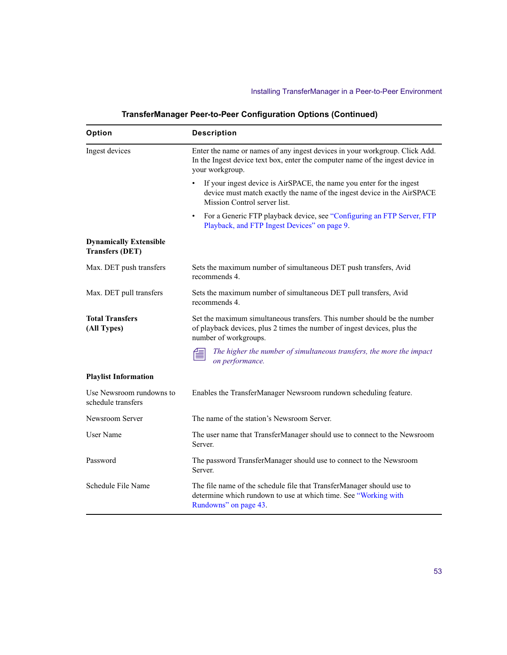| Option                                                  | <b>Description</b>                                                                                                                                                               |
|---------------------------------------------------------|----------------------------------------------------------------------------------------------------------------------------------------------------------------------------------|
| Ingest devices                                          | Enter the name or names of any ingest devices in your workgroup. Click Add.<br>In the Ingest device text box, enter the computer name of the ingest device in<br>your workgroup. |
|                                                         | If your ingest device is AirSPACE, the name you enter for the ingest<br>device must match exactly the name of the ingest device in the AirSPACE<br>Mission Control server list.  |
|                                                         | For a Generic FTP playback device, see "Configuring an FTP Server, FTP<br>٠<br>Playback, and FTP Ingest Devices" on page 9.                                                      |
| <b>Dynamically Extensible</b><br><b>Transfers (DET)</b> |                                                                                                                                                                                  |
| Max. DET push transfers                                 | Sets the maximum number of simultaneous DET push transfers, Avid<br>recommends 4.                                                                                                |
| Max. DET pull transfers                                 | Sets the maximum number of simultaneous DET pull transfers, Avid<br>recommends 4.                                                                                                |
| <b>Total Transfers</b><br>(All Types)                   | Set the maximum simultaneous transfers. This number should be the number<br>of playback devices, plus 2 times the number of ingest devices, plus the<br>number of workgroups.    |
|                                                         | The higher the number of simultaneous transfers, the more the impact<br>on performance.                                                                                          |
| <b>Playlist Information</b>                             |                                                                                                                                                                                  |
| Use Newsroom rundowns to<br>schedule transfers          | Enables the TransferManager Newsroom rundown scheduling feature.                                                                                                                 |
| Newsroom Server                                         | The name of the station's Newsroom Server.                                                                                                                                       |
| User Name                                               | The user name that TransferManager should use to connect to the Newsroom<br>Server.                                                                                              |
| Password                                                | The password TransferManager should use to connect to the Newsroom<br>Server.                                                                                                    |
| Schedule File Name                                      | The file name of the schedule file that TransferManager should use to<br>determine which rundown to use at which time. See "Working with<br>Rundowns" on page 43.                |

# **TransferManager Peer-to-Peer Configuration Options (Continued)**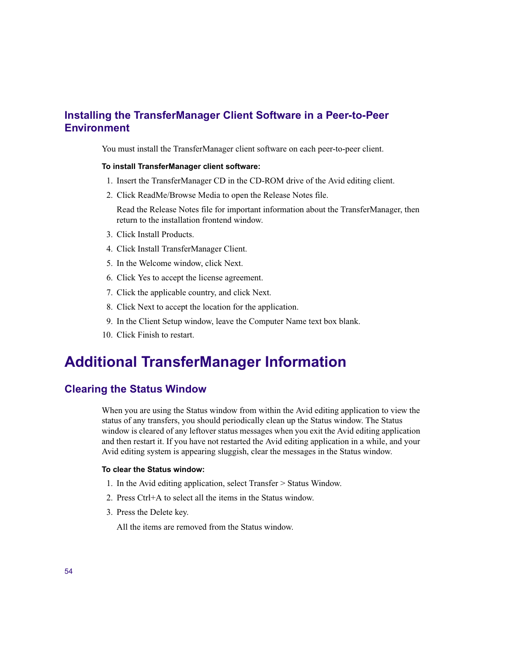# <span id="page-53-0"></span>**Installing the TransferManager Client Software in a Peer-to-Peer Environment**

You must install the TransferManager client software on each peer-to-peer client.

#### **To install TransferManager client software:**

- 1. Insert the TransferManager CD in the CD-ROM drive of the Avid editing client.
- 2. Click ReadMe/Browse Media to open the Release Notes file.

Read the Release Notes file for important information about the TransferManager, then return to the installation frontend window.

- 3. Click Install Products.
- 4. Click Install TransferManager Client.
- 5. In the Welcome window, click Next.
- 6. Click Yes to accept the license agreement.
- 7. Click the applicable country, and click Next.
- 8. Click Next to accept the location for the application.
- 9. In the Client Setup window, leave the Computer Name text box blank.
- 10. Click Finish to restart.

# <span id="page-53-1"></span>**Additional TransferManager Information**

# <span id="page-53-2"></span>**Clearing the Status Window**

When you are using the Status window from within the Avid editing application to view the status of any transfers, you should periodically clean up the Status window. The Status window is cleared of any leftover status messages when you exit the Avid editing application and then restart it. If you have not restarted the Avid editing application in a while, and your Avid editing system is appearing sluggish, clear the messages in the Status window.

#### **To clear the Status window:**

- 1. In the Avid editing application, select Transfer > Status Window.
- 2. Press Ctrl+A to select all the items in the Status window.
- 3. Press the Delete key.

All the items are removed from the Status window.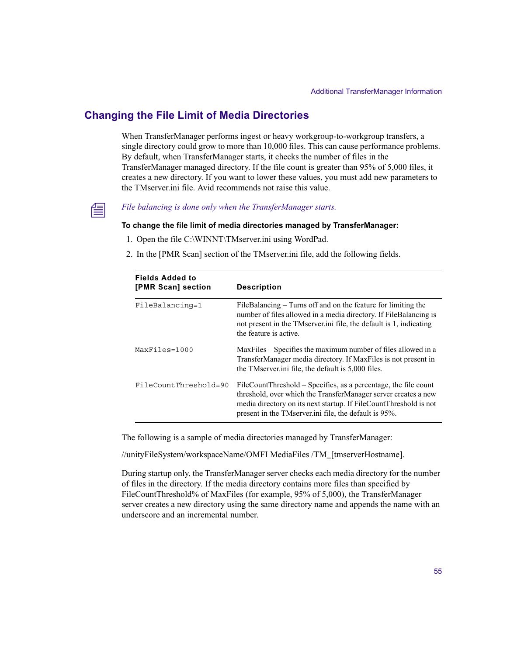# <span id="page-54-0"></span>**Changing the File Limit of Media Directories**

When TransferManager performs ingest or heavy workgroup-to-workgroup transfers, a single directory could grow to more than 10,000 files. This can cause performance problems. By default, when TransferManager starts, it checks the number of files in the TransferManager managed directory. If the file count is greater than 95% of 5,000 files, it creates a new directory. If you want to lower these values, you must add new parameters to the TMserver ini file. Avid recommends not raise this value.



# n *File balancing is done only when the TransferManager starts.*

#### **To change the file limit of media directories managed by TransferManager:**

- 1. Open the file C:\WINNT\TMserver.ini using WordPad.
- 2. In the [PMR Scan] section of the TMserver.ini file, add the following fields.

| <b>Fields Added to</b><br>[PMR Scan] section | <b>Description</b>                                                                                                                                                                                                                                              |
|----------------------------------------------|-----------------------------------------------------------------------------------------------------------------------------------------------------------------------------------------------------------------------------------------------------------------|
| FileBalancing=1                              | FileBalancing – Turns off and on the feature for limiting the<br>number of files allowed in a media directory. If FileBalancing is<br>not present in the TMserver in file, the default is 1, indicating<br>the feature is active.                               |
| $MaxFiles = 1000$                            | MaxFiles – Specifies the maximum number of files allowed in a<br>TransferManager media directory. If MaxFiles is not present in<br>the TM server in file, the default is 5,000 files.                                                                           |
| FileCountThreshold=90                        | FileCountThreshold – Specifies, as a percentage, the file count<br>threshold, over which the TransferManager server creates a new<br>media directory on its next startup. If FileCountThreshold is not<br>present in the TMserver ini file, the default is 95%. |

The following is a sample of media directories managed by TransferManager:

//unityFileSystem/workspaceName/OMFI MediaFiles /TM\_[tmserverHostname].

During startup only, the TransferManager server checks each media directory for the number of files in the directory. If the media directory contains more files than specified by FileCountThreshold% of MaxFiles (for example, 95% of 5,000), the TransferManager server creates a new directory using the same directory name and appends the name with an underscore and an incremental number.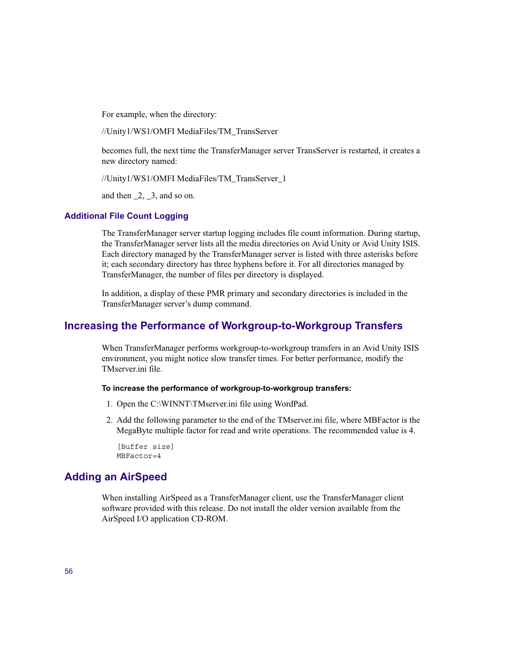For example, when the directory:

//Unity1/WS1/OMFI MediaFiles/TM\_TransServer

becomes full, the next time the TransferManager server TransServer is restarted, it creates a new directory named:

//Unity1/WS1/OMFI MediaFiles/TM\_TransServer\_1

and then  $\_2$ ,  $\_3$ , and so on.

### **Additional File Count Logging**

The TransferManager server startup logging includes file count information. During startup, the TransferManager server lists all the media directories on Avid Unity or Avid Unity ISIS. Each directory managed by the TransferManager server is listed with three asterisks before it; each secondary directory has three hyphens before it. For all directories managed by TransferManager, the number of files per directory is displayed.

In addition, a display of these PMR primary and secondary directories is included in the TransferManager server's dump command.

# <span id="page-55-0"></span>**Increasing the Performance of Workgroup-to-Workgroup Transfers**

When TransferManager performs workgroup-to-workgroup transfers in an Avid Unity ISIS environment, you might notice slow transfer times. For better performance, modify the TMserver ini file

#### **To increase the performance of workgroup-to-workgroup transfers:**

- 1. Open the C:\WINNT\TMserver.ini file using WordPad.
- 2. Add the following parameter to the end of the TMserver.ini file, where MBFactor is the MegaByte multiple factor for read and write operations. The recommended value is 4.

```
[Buffer size]
MBFactor=4
```
# <span id="page-55-1"></span>**Adding an AirSpeed**

When installing AirSpeed as a TransferManager client, use the TransferManager client software provided with this release. Do not install the older version available from the AirSpeed I/O application CD-ROM.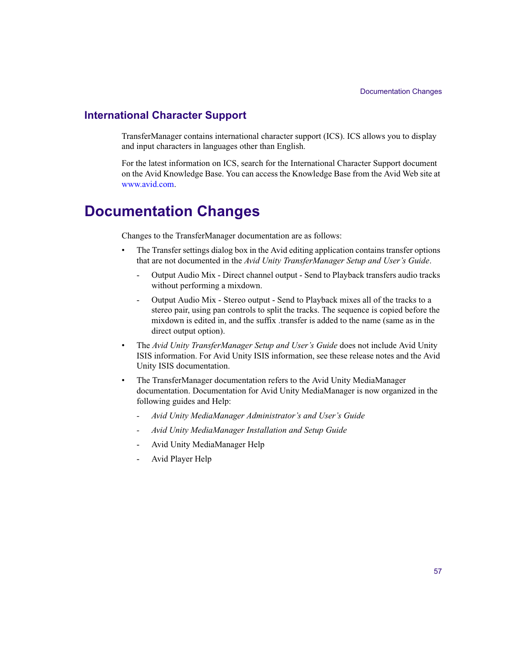# <span id="page-56-0"></span>**International Character Support**

TransferManager contains international character support (ICS). ICS allows you to display and input characters in languages other than English.

For the latest information on ICS, search for the International Character Support document on the Avid Knowledge Base. You can access the Knowledge Base from the Avid Web site at [www.avid.com](http://www.avid.com).

# <span id="page-56-1"></span>**Documentation Changes**

Changes to the TransferManager documentation are as follows:

- The Transfer settings dialog box in the Avid editing application contains transfer options that are not documented in the *Avid Unity TransferManager Setup and User's Guide*.
	- Output Audio Mix Direct channel output Send to Playback transfers audio tracks without performing a mixdown.
	- Output Audio Mix Stereo output Send to Playback mixes all of the tracks to a stereo pair, using pan controls to split the tracks. The sequence is copied before the mixdown is edited in, and the suffix .transfer is added to the name (same as in the direct output option).
- The *Avid Unity TransferManager Setup and User's Guide* does not include Avid Unity ISIS information. For Avid Unity ISIS information, see these release notes and the Avid Unity ISIS documentation.
- The TransferManager documentation refers to the Avid Unity MediaManager documentation. Documentation for Avid Unity MediaManager is now organized in the following guides and Help:
	- *Avid Unity MediaManager Administrator's and User's Guide*
	- *Avid Unity MediaManager Installation and Setup Guide*
	- Avid Unity MediaManager Help
	- Avid Player Help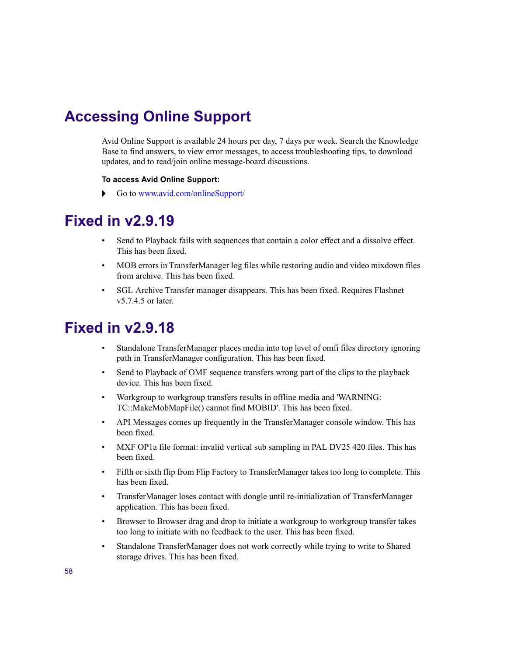# <span id="page-57-0"></span>**Accessing Online Support**

Avid Online Support is available 24 hours per day, 7 days per week. Search the Knowledge Base to find answers, to view error messages, to access troubleshooting tips, to download updates, and to read/join online message-board discussions.

### **To access Avid Online Support:**

 $\triangleright$  Go to [www.avid.com/onlineSupport/](http://www.avid.com/onlinesupport)

# <span id="page-57-1"></span>**Fixed in v2.9.19**

- Send to Playback fails with sequences that contain a color effect and a dissolve effect. This has been fixed.
- MOB errors in TransferManager log files while restoring audio and video mixdown files from archive. This has been fixed.
- SGL Archive Transfer manager disappears. This has been fixed. Requires Flashnet v5.7.4.5 or later.

- <span id="page-57-2"></span>• Standalone TransferManager places media into top level of omfi files directory ignoring path in TransferManager configuration. This has been fixed.
- Send to Playback of OMF sequence transfers wrong part of the clips to the playback device. This has been fixed.
- Workgroup to workgroup transfers results in offline media and 'WARNING: TC::MakeMobMapFile() cannot find MOBID'. This has been fixed.
- API Messages comes up frequently in the TransferManager console window. This has been fixed.
- MXF OP1a file format: invalid vertical sub sampling in PAL DV25 420 files. This has been fixed.
- Fifth or sixth flip from Flip Factory to TransferManager takes too long to complete. This has been fixed.
- TransferManager loses contact with dongle until re-initialization of TransferManager application. This has been fixed.
- Browser to Browser drag and drop to initiate a workgroup to workgroup transfer takes too long to initiate with no feedback to the user. This has been fixed.
- Standalone TransferManager does not work correctly while trying to write to Shared storage drives. This has been fixed.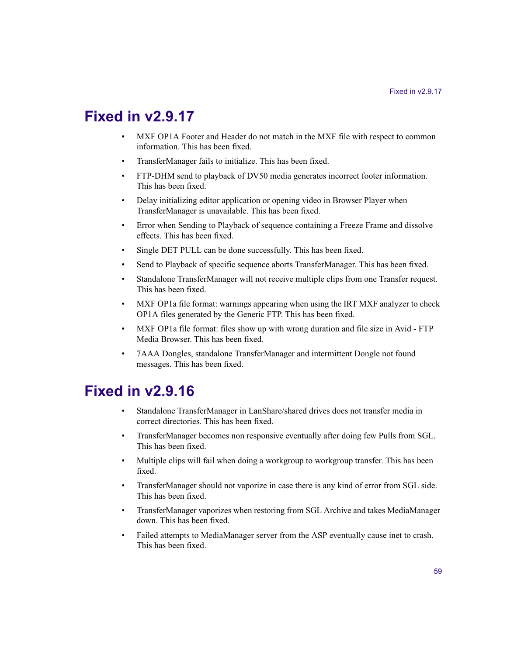# <span id="page-58-0"></span>**Fixed in v2.9.17**

- MXF OP1A Footer and Header do not match in the MXF file with respect to common information. This has been fixed.
- TransferManager fails to initialize. This has been fixed.
- FTP-DHM send to playback of DV50 media generates incorrect footer information. This has been fixed.
- Delay initializing editor application or opening video in Browser Player when TransferManager is unavailable. This has been fixed.
- Error when Sending to Playback of sequence containing a Freeze Frame and dissolve effects. This has been fixed.
- Single DET PULL can be done successfully. This has been fixed.
- Send to Playback of specific sequence aborts TransferManager. This has been fixed.
- Standalone TransferManager will not receive multiple clips from one Transfer request. This has been fixed.
- MXF OP1a file format: warnings appearing when using the IRT MXF analyzer to check OP1A files generated by the Generic FTP. This has been fixed.
- MXF OP1a file format: files show up with wrong duration and file size in Avid FTP Media Browser. This has been fixed.
- 7AAA Dongles, standalone TransferManager and intermittent Dongle not found messages. This has been fixed.

- <span id="page-58-1"></span>• Standalone TransferManager in LanShare/shared drives does not transfer media in correct directories. This has been fixed.
- TransferManager becomes non responsive eventually after doing few Pulls from SGL. This has been fixed.
- Multiple clips will fail when doing a workgroup to workgroup transfer. This has been fixed.
- TransferManager should not vaporize in case there is any kind of error from SGL side. This has been fixed.
- TransferManager vaporizes when restoring from SGL Archive and takes MediaManager down. This has been fixed.
- Failed attempts to MediaManager server from the ASP eventually cause inet to crash. This has been fixed.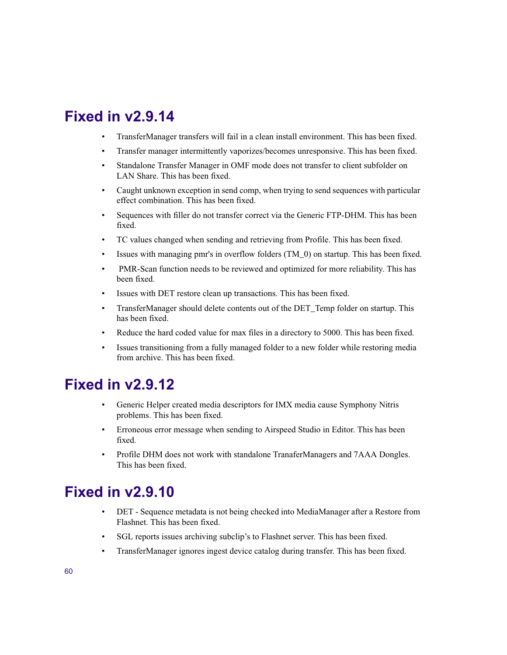# <span id="page-59-0"></span>**Fixed in v2.9.14**

- TransferManager transfers will fail in a clean install environment. This has been fixed.
- Transfer manager intermittently vaporizes/becomes unresponsive. This has been fixed.
- Standalone Transfer Manager in OMF mode does not transfer to client subfolder on LAN Share. This has been fixed.
- Caught unknown exception in send comp, when trying to send sequences with particular effect combination. This has been fixed.
- Sequences with filler do not transfer correct via the Generic FTP-DHM. This has been fixed.
- TC values changed when sending and retrieving from Profile. This has been fixed.
- Issues with managing pmr's in overflow folders (TM\_0) on startup. This has been fixed.
- PMR-Scan function needs to be reviewed and optimized for more reliability. This has been fixed.
- Issues with DET restore clean up transactions. This has been fixed.
- TransferManager should delete contents out of the DET Temp folder on startup. This has been fixed.
- Reduce the hard coded value for max files in a directory to 5000. This has been fixed.
- Issues transitioning from a fully managed folder to a new folder while restoring media from archive. This has been fixed.

# <span id="page-59-1"></span>**Fixed in v2.9.12**

- Generic Helper created media descriptors for IMX media cause Symphony Nitris problems. This has been fixed.
- Erroneous error message when sending to Airspeed Studio in Editor. This has been fixed.
- Profile DHM does not work with standalone TranaferManagers and 7AAA Dongles. This has been fixed.

- <span id="page-59-2"></span>• DET - Sequence metadata is not being checked into MediaManager after a Restore from Flashnet. This has been fixed.
- SGL reports issues archiving subclip's to Flashnet server. This has been fixed.
- TransferManager ignores ingest device catalog during transfer. This has been fixed.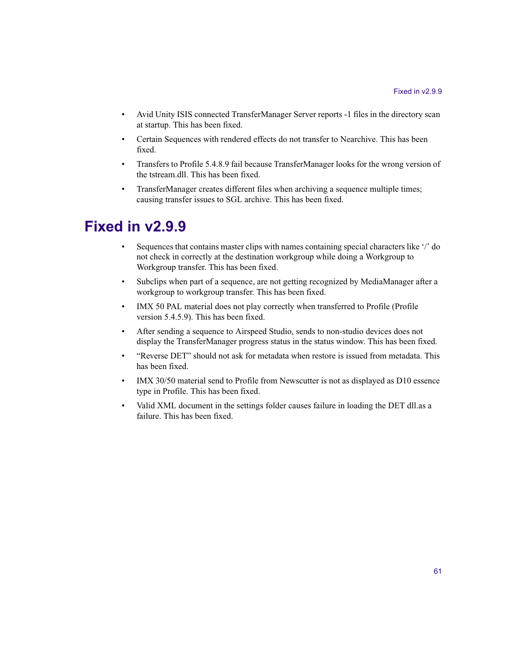- Avid Unity ISIS connected TransferManager Server reports -1 files in the directory scan at startup. This has been fixed.
- Certain Sequences with rendered effects do not transfer to Nearchive. This has been fixed.
- Transfers to Profile 5.4.8.9 fail because TransferManager looks for the wrong version of the tstream.dll. This has been fixed.
- TransferManager creates different files when archiving a sequence multiple times; causing transfer issues to SGL archive. This has been fixed.

- <span id="page-60-0"></span>• Sequences that contains master clips with names containing special characters like '/' do not check in correctly at the destination workgroup while doing a Workgroup to Workgroup transfer. This has been fixed.
- Subclips when part of a sequence, are not getting recognized by MediaManager after a workgroup to workgroup transfer. This has been fixed.
- IMX 50 PAL material does not play correctly when transferred to Profile (Profile version 5.4.5.9). This has been fixed.
- After sending a sequence to Airspeed Studio, sends to non-studio devices does not display the TransferManager progress status in the status window. This has been fixed.
- "Reverse DET" should not ask for metadata when restore is issued from metadata. This has been fixed.
- IMX 30/50 material send to Profile from Newscutter is not as displayed as D10 essence type in Profile. This has been fixed.
- Valid XML document in the settings folder causes failure in loading the DET dll.as a failure. This has been fixed.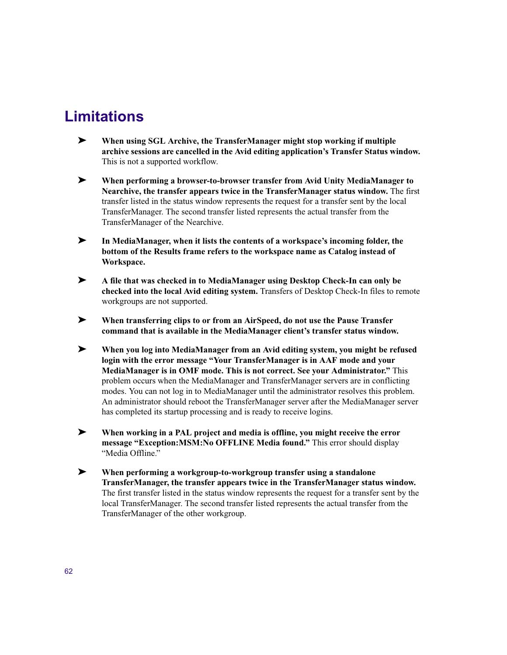# <span id="page-61-0"></span>**Limitations**

- ➤ **When using SGL Archive, the TransferManager might stop working if multiple archive sessions are cancelled in the Avid editing application's Transfer Status window.**  This is not a supported workflow.
- ➤ **When performing a browser-to-browser transfer from Avid Unity MediaManager to Nearchive, the transfer appears twice in the TransferManager status window.** The first transfer listed in the status window represents the request for a transfer sent by the local TransferManager. The second transfer listed represents the actual transfer from the TransferManager of the Nearchive.
- ➤ **In MediaManager, when it lists the contents of a workspace's incoming folder, the bottom of the Results frame refers to the workspace name as Catalog instead of Workspace.**
- ➤ **A file that was checked in to MediaManager using Desktop Check-In can only be checked into the local Avid editing system.** Transfers of Desktop Check-In files to remote workgroups are not supported.
- ➤ **When transferring clips to or from an AirSpeed, do not use the Pause Transfer command that is available in the MediaManager client's transfer status window.**
- ➤ **When you log into MediaManager from an Avid editing system, you might be refused login with the error message "Your TransferManager is in AAF mode and your MediaManager is in OMF mode. This is not correct. See your Administrator."** This problem occurs when the MediaManager and TransferManager servers are in conflicting modes. You can not log in to MediaManager until the administrator resolves this problem. An administrator should reboot the TransferManager server after the MediaManager server has completed its startup processing and is ready to receive logins.
- ➤ **When working in a PAL project and media is offline, you might receive the error message "Exception:MSM:No OFFLINE Media found."** This error should display "Media Offline"
- ➤ **When performing a workgroup-to-workgroup transfer using a standalone TransferManager, the transfer appears twice in the TransferManager status window.** The first transfer listed in the status window represents the request for a transfer sent by the local TransferManager. The second transfer listed represents the actual transfer from the TransferManager of the other workgroup.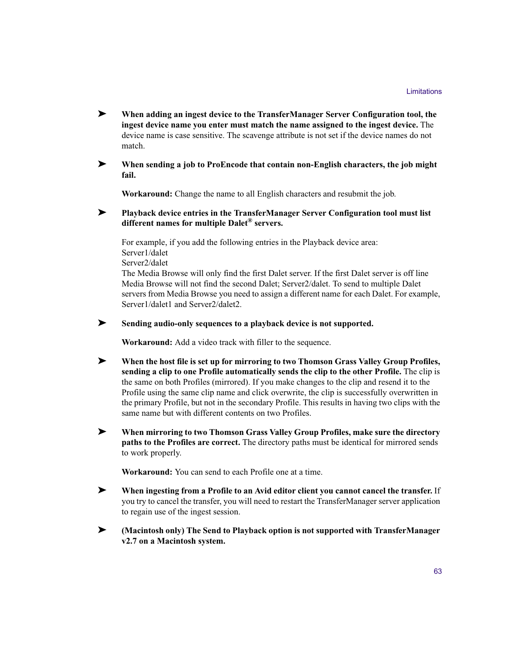- ➤ **When adding an ingest device to the TransferManager Server Configuration tool, the ingest device name you enter must match the name assigned to the ingest device.** The device name is case sensitive. The scavenge attribute is not set if the device names do not match.
- ➤ **When sending a job to ProEncode that contain non-English characters, the job might fail.**

**Workaround:** Change the name to all English characters and resubmit the job.

### ➤ **Playback device entries in the TransferManager Server Configuration tool must list different names for multiple Dalet® servers.**

For example, if you add the following entries in the Playback device area: Server1/dalet Server2/dalet The Media Browse will only find the first Dalet server. If the first Dalet server is off line Media Browse will not find the second Dalet; Server2/dalet. To send to multiple Dalet servers from Media Browse you need to assign a different name for each Dalet. For example, Server1/dalet1 and Server2/dalet2.

### ➤ **Sending audio-only sequences to a playback device is not supported.**

**Workaround:** Add a video track with filler to the sequence.

- ➤ **When the host file is set up for mirroring to two Thomson Grass Valley Group Profiles, sending a clip to one Profile automatically sends the clip to the other Profile.** The clip is the same on both Profiles (mirrored). If you make changes to the clip and resend it to the Profile using the same clip name and click overwrite, the clip is successfully overwritten in the primary Profile, but not in the secondary Profile. This results in having two clips with the same name but with different contents on two Profiles.
- ➤ **When mirroring to two Thomson Grass Valley Group Profiles, make sure the directory paths to the Profiles are correct.** The directory paths must be identical for mirrored sends to work properly.

**Workaround:** You can send to each Profile one at a time.

- ➤ **When ingesting from a Profile to an Avid editor client you cannot cancel the transfer.** If you try to cancel the transfer, you will need to restart the TransferManager server application to regain use of the ingest session.
- ➤ **(Macintosh only) The Send to Playback option is not supported with TransferManager v2.7 on a Macintosh system.**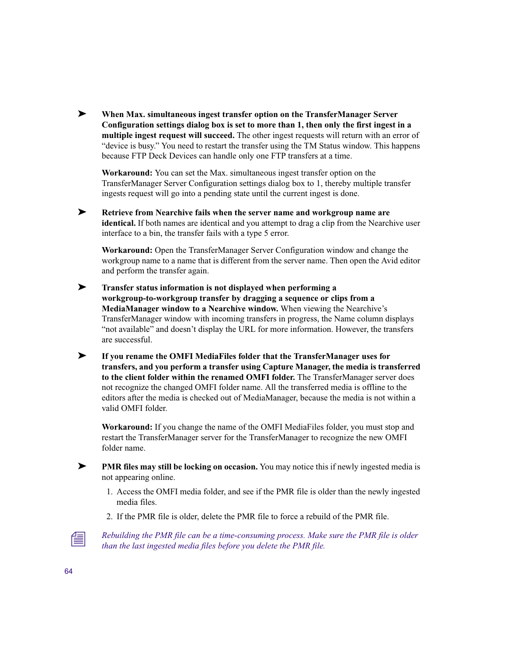➤ **When Max. simultaneous ingest transfer option on the TransferManager Server Configuration settings dialog box is set to more than 1, then only the first ingest in a multiple ingest request will succeed.** The other ingest requests will return with an error of "device is busy." You need to restart the transfer using the TM Status window. This happens because FTP Deck Devices can handle only one FTP transfers at a time.

**Workaround:** You can set the Max. simultaneous ingest transfer option on the TransferManager Server Configuration settings dialog box to 1, thereby multiple transfer ingests request will go into a pending state until the current ingest is done.

➤ **Retrieve from Nearchive fails when the server name and workgroup name are identical.** If both names are identical and you attempt to drag a clip from the Nearchive user interface to a bin, the transfer fails with a type 5 error.

**Workaround:** Open the TransferManager Server Configuration window and change the workgroup name to a name that is different from the server name. Then open the Avid editor and perform the transfer again.

- ➤ **Transfer status information is not displayed when performing a workgroup-to-workgroup transfer by dragging a sequence or clips from a MediaManager window to a Nearchive window.** When viewing the Nearchive's TransferManager window with incoming transfers in progress, the Name column displays "not available" and doesn't display the URL for more information. However, the transfers are successful.
- ➤ **If you rename the OMFI MediaFiles folder that the TransferManager uses for transfers, and you perform a transfer using Capture Manager, the media is transferred to the client folder within the renamed OMFI folder.** The TransferManager server does not recognize the changed OMFI folder name. All the transferred media is offline to the editors after the media is checked out of MediaManager, because the media is not within a valid OMFI folder.

**Workaround:** If you change the name of the OMFI MediaFiles folder, you must stop and restart the TransferManager server for the TransferManager to recognize the new OMFI folder name.

- ➤ **PMR files may still be locking on occasion.** You may notice this if newly ingested media is not appearing online.
	- 1. Access the OMFI media folder, and see if the PMR file is older than the newly ingested media files.
	- 2. If the PMR file is older, delete the PMR file to force a rebuild of the PMR file.



n *Rebuilding the PMR file can be a time-consuming process. Make sure the PMR file is older than the last ingested media files before you delete the PMR file.*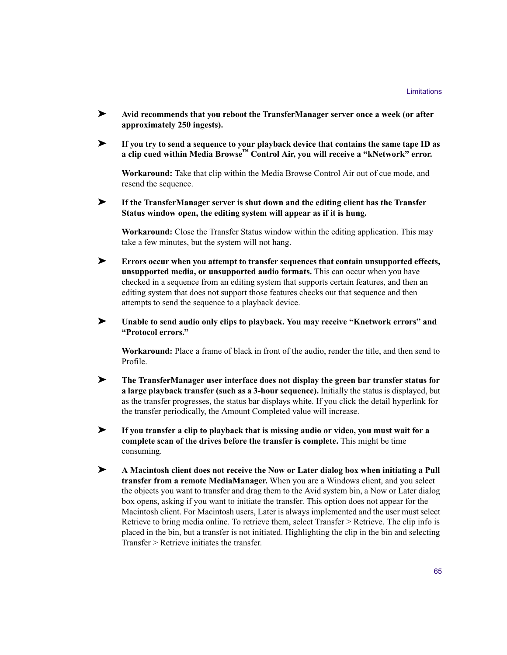- ➤ **Avid recommends that you reboot the TransferManager server once a week (or after approximately 250 ingests).**
- ➤ **If you try to send a sequence to your playback device that contains the same tape ID as a clip cued within Media Browse™ Control Air, you will receive a "kNetwork" error.**

**Workaround:** Take that clip within the Media Browse Control Air out of cue mode, and resend the sequence.

➤ **If the TransferManager server is shut down and the editing client has the Transfer Status window open, the editing system will appear as if it is hung.**

**Workaround:** Close the Transfer Status window within the editing application. This may take a few minutes, but the system will not hang.

- ➤ **Errors occur when you attempt to transfer sequences that contain unsupported effects, unsupported media, or unsupported audio formats.** This can occur when you have checked in a sequence from an editing system that supports certain features, and then an editing system that does not support those features checks out that sequence and then attempts to send the sequence to a playback device.
- ➤ **Unable to send audio only clips to playback. You may receive "Knetwork errors" and "Protocol errors."**

**Workaround:** Place a frame of black in front of the audio, render the title, and then send to Profile.

- ➤ **The TransferManager user interface does not display the green bar transfer status for a large playback transfer (such as a 3-hour sequence).** Initially the status is displayed, but as the transfer progresses, the status bar displays white. If you click the detail hyperlink for the transfer periodically, the Amount Completed value will increase.
- ➤ **If you transfer a clip to playback that is missing audio or video, you must wait for a complete scan of the drives before the transfer is complete.** This might be time consuming.
- ➤ **A Macintosh client does not receive the Now or Later dialog box when initiating a Pull transfer from a remote MediaManager.** When you are a Windows client, and you select the objects you want to transfer and drag them to the Avid system bin, a Now or Later dialog box opens, asking if you want to initiate the transfer. This option does not appear for the Macintosh client. For Macintosh users, Later is always implemented and the user must select Retrieve to bring media online. To retrieve them, select Transfer > Retrieve. The clip info is placed in the bin, but a transfer is not initiated. Highlighting the clip in the bin and selecting Transfer > Retrieve initiates the transfer.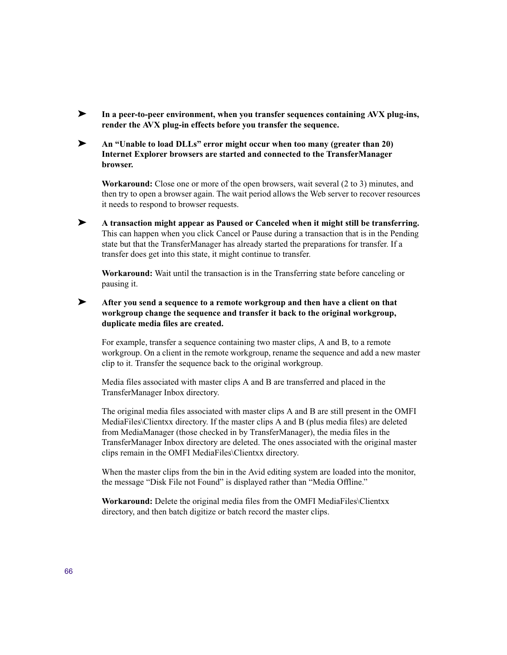- ➤ **In a peer-to-peer environment, when you transfer sequences containing AVX plug-ins, render the AVX plug-in effects before you transfer the sequence.**
- ➤ **An "Unable to load DLLs" error might occur when too many (greater than 20) Internet Explorer browsers are started and connected to the TransferManager browser.**

**Workaround:** Close one or more of the open browsers, wait several (2 to 3) minutes, and then try to open a browser again. The wait period allows the Web server to recover resources it needs to respond to browser requests.

➤ **A transaction might appear as Paused or Canceled when it might still be transferring.**  This can happen when you click Cancel or Pause during a transaction that is in the Pending state but that the TransferManager has already started the preparations for transfer. If a transfer does get into this state, it might continue to transfer.

**Workaround:** Wait until the transaction is in the Transferring state before canceling or pausing it.

### ➤ **After you send a sequence to a remote workgroup and then have a client on that workgroup change the sequence and transfer it back to the original workgroup, duplicate media files are created.**

For example, transfer a sequence containing two master clips, A and B, to a remote workgroup. On a client in the remote workgroup, rename the sequence and add a new master clip to it. Transfer the sequence back to the original workgroup.

Media files associated with master clips A and B are transferred and placed in the TransferManager Inbox directory.

The original media files associated with master clips A and B are still present in the OMFI MediaFiles\Clientxx directory. If the master clips A and B (plus media files) are deleted from MediaManager (those checked in by TransferManager), the media files in the TransferManager Inbox directory are deleted. The ones associated with the original master clips remain in the OMFI MediaFiles\Clientxx directory.

When the master clips from the bin in the Avid editing system are loaded into the monitor, the message "Disk File not Found" is displayed rather than "Media Offline."

**Workaround:** Delete the original media files from the OMFI MediaFiles\Clientxx directory, and then batch digitize or batch record the master clips.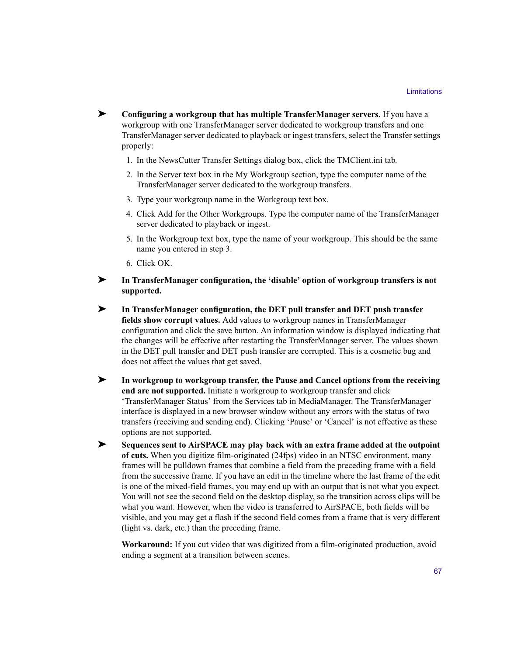- ➤ **Configuring a workgroup that has multiple TransferManager servers.** If you have a workgroup with one TransferManager server dedicated to workgroup transfers and one TransferManager server dedicated to playback or ingest transfers, select the Transfer settings properly:
	- 1. In the NewsCutter Transfer Settings dialog box, click the TMClient.ini tab.
	- 2. In the Server text box in the My Workgroup section, type the computer name of the TransferManager server dedicated to the workgroup transfers.
	- 3. Type your workgroup name in the Workgroup text box.
	- 4. Click Add for the Other Workgroups. Type the computer name of the TransferManager server dedicated to playback or ingest.
	- 5. In the Workgroup text box, type the name of your workgroup. This should be the same name you entered in step 3.
	- 6. Click OK.

➤ **In TransferManager configuration, the 'disable' option of workgroup transfers is not supported.**

- ➤ **In TransferManager configuration, the DET pull transfer and DET push transfer fields show corrupt values.** Add values to workgroup names in TransferManager configuration and click the save button. An information window is displayed indicating that the changes will be effective after restarting the TransferManager server. The values shown in the DET pull transfer and DET push transfer are corrupted. This is a cosmetic bug and does not affect the values that get saved.
- ➤ **In workgroup to workgroup transfer, the Pause and Cancel options from the receiving end are not supported.** Initiate a workgroup to workgroup transfer and click 'TransferManager Status' from the Services tab in MediaManager. The TransferManager interface is displayed in a new browser window without any errors with the status of two transfers (receiving and sending end). Clicking 'Pause' or 'Cancel' is not effective as these options are not supported.
- ➤ **Sequences sent to AirSPACE may play back with an extra frame added at the outpoint of cuts.** When you digitize film-originated (24fps) video in an NTSC environment, many frames will be pulldown frames that combine a field from the preceding frame with a field from the successive frame. If you have an edit in the timeline where the last frame of the edit is one of the mixed-field frames, you may end up with an output that is not what you expect. You will not see the second field on the desktop display, so the transition across clips will be what you want. However, when the video is transferred to AirSPACE, both fields will be visible, and you may get a flash if the second field comes from a frame that is very different (light vs. dark, etc.) than the preceding frame.

**Workaround:** If you cut video that was digitized from a film-originated production, avoid ending a segment at a transition between scenes.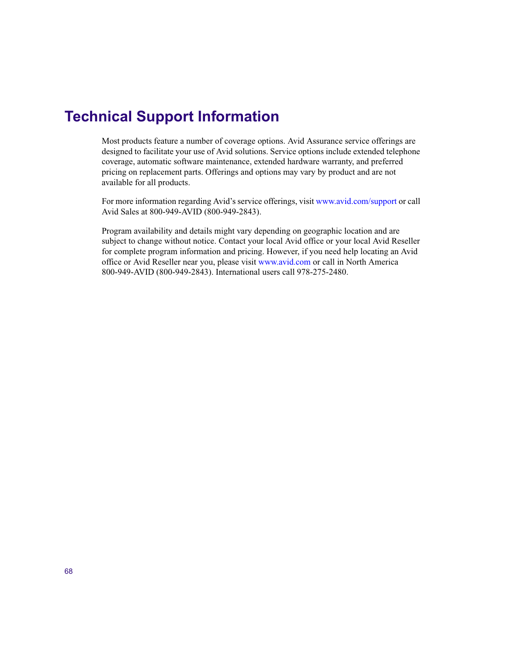# <span id="page-67-0"></span>**Technical Support Information**

Most products feature a number of coverage options. Avid Assurance service offerings are designed to facilitate your use of Avid solutions. Service options include extended telephone coverage, automatic software maintenance, extended hardware warranty, and preferred pricing on replacement parts. Offerings and options may vary by product and are not available for all products.

For more information regarding Avid's service offerings, visit [www.avid.com/support](http://www.avid.com/onlinesupport) or call Avid Sales at 800-949-AVID (800-949-2843).

Program availability and details might vary depending on geographic location and are subject to change without notice. Contact your local Avid office or your local Avid Reseller for complete program information and pricing. However, if you need help locating an Avid office or Avid Reseller near you, please visit [www.avid.com](http://www.avid.com) or call in North America 800-949-AVID (800-949-2843). International users call 978-275-2480.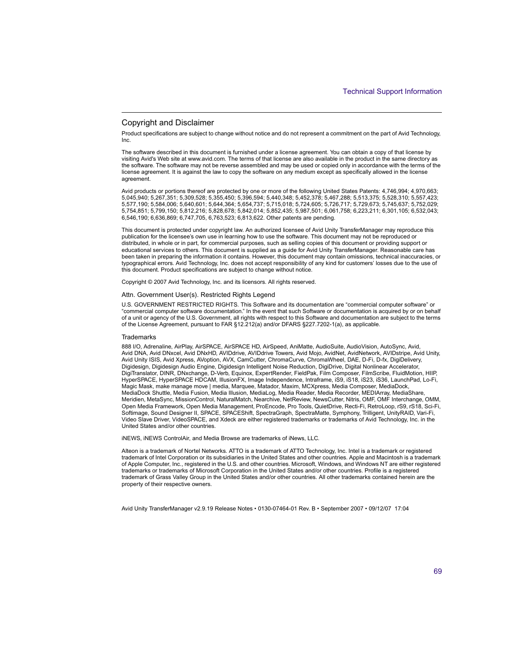#### Copyright and Disclaimer

Product specifications are subject to change without notice and do not represent a commitment on the part of Avid Technology, Inc.

The software described in this document is furnished under a license agreement. You can obtain a copy of that license by visiting Avid's Web site at www.avid.com. The terms of that license are also available in the product in the same directory as the software. The software may not be reverse assembled and may be used or copied only in accordance with the terms of the license agreement. It is against the law to copy the software on any medium except as specifically allowed in the license agreement.

Avid products or portions thereof are protected by one or more of the following United States Patents: 4,746,994; 4,970,663; 5,045,940; 5,267,351; 5,309,528; 5,355,450; 5,396,594; 5,440,348; 5,452,378; 5,467,288; 5,513,375; 5,528,310; 5,557,423; 5,577,190; 5,584,006; 5,640,601; 5,644,364; 5,654,737; 5,715,018; 5,724,605; 5,726,717; 5,729,673; 5,745,637; 5,752,029; 5,754,851; 5,799,150; 5,812,216; 5,828,678; 5,842,014; 5,852,435; 5,987,501; 6,061,758; 6,223,211; 6,301,105; 6,532,043; 6,546,190; 6,636,869; 6,747,705, 6,763,523; 6,813,622. Other patents are pending.

This document is protected under copyright law. An authorized licensee of Avid Unity TransferManager may reproduce this publication for the licensee's own use in learning how to use the software. This document may not be reproduced or distributed, in whole or in part, for commercial purposes, such as selling copies of this document or providing support or educational services to others. This document is supplied as a guide for Avid Unity TransferManager. Reasonable care has been taken in preparing the information it contains. However, this document may contain omissions, technical inaccuracies, or typographical errors. Avid Technology, Inc. does not accept responsibility of any kind for customers' losses due to the use of this document. Product specifications are subject to change without notice.

Copyright © 2007 Avid Technology, Inc. and its licensors. All rights reserved.

#### Attn. Government User(s). Restricted Rights Legend

U.S. GOVERNMENT RESTRICTED RIGHTS. This Software and its documentation are "commercial computer software" or "commercial computer software documentation." In the event that such Software or documentation is acquired by or on behalf of a unit or agency of the U.S. Government, all rights with respect to this Software and documentation are subject to the terms of the License Agreement, pursuant to FAR §12.212(a) and/or DFARS §227.7202-1(a), as applicable.

#### **Trademarks**

888 I/O, Adrenaline, AirPlay, AirSPACE, AirSPACE HD, AirSpeed, AniMatte, AudioSuite, AudioVision, AutoSync, Avid, Avid DNA, Avid DNxcel, Avid DNxHD, AVIDdrive, AVIDdrive Towers, Avid Mojo, AvidNet, AvidNetwork, AVIDstripe, Avid Unity, Avid Unity ISIS, Avid Xpress, AVoption, AVX, CamCutter, ChromaCurve, ChromaWheel, DAE, D-Fi, D-fx, DigiDelivery, Digidesign, Digidesign Audio Engine, Digidesign Intelligent Noise Reduction, DigiDrive, Digital Nonlinear Accelerator, DigiTranslator, DINR, DNxchange, D-Verb, Equinox, ExpertRender, FieldPak, Film Composer, FilmScribe, FluidMotion, HIIP, HyperSPACE, HyperSPACE HDCAM, IllusionFX, Image Independence, Intraframe, iS9, iS18, iS23, iS36, LaunchPad, Lo-Fi, Magic Mask, make manage move | media, Marquee, Matador, Maxim, MCXpress, Media Composer, MediaDock, MediaDock Shuttle, Media Fusion, Media Illusion, MediaLog, Media Reader, Media Recorder, MEDIArray, MediaShare, Meridien, MetaSync, MissionControl, NaturalMatch, Nearchive, NetReview, NewsCutter, Nitris, OMF, OMF Interchange, OMM, Open Media Framework, Open Media Management, ProEncode, Pro Tools, QuietDrive, Recti-Fi, RetroLoop, rS9, rS18, Sci-Fi, Softimage, Sound Designer II, SPACE, SPACEShift, SpectraGraph, SpectraMatte, Symphony, Trilligent, UnityRAID, Vari-Fi, Video Slave Driver, VideoSPACE, and Xdeck are either registered trademarks or trademarks of Avid Technology, Inc. in the United States and/or other countries.

iNEWS, iNEWS ControlAir, and Media Browse are trademarks of iNews, LLC.

Alteon is a trademark of Nortel Networks. ATTO is a trademark of ATTO Technology, Inc. Intel is a trademark or registered trademark of Intel Corporation or its subsidiaries in the United States and other countries. Apple and Macintosh is a trademark of Apple Computer, Inc., registered in the U.S. and other countries. Microsoft, Windows, and Windows NT are either registered trademarks or trademarks of Microsoft Corporation in the United States and/or other countries. Profile is a registered trademark of Grass Valley Group in the United States and/or other countries. All other trademarks contained herein are the property of their respective owners.

Avid Unity TransferManager v2.9.19 Release Notes • 0130-07464-01 Rev. B • September 2007 • 09/12/07 17:04